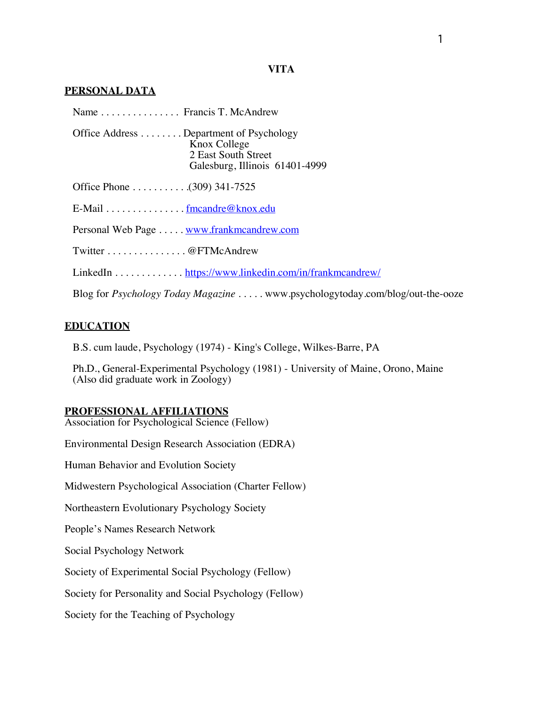## **PERSONAL DATA**

| Name Francis T. McAndrew                                                                                         |
|------------------------------------------------------------------------------------------------------------------|
| Office Address Department of Psychology<br>Knox College<br>2 East South Street<br>Galesburg, Illinois 61401-4999 |
|                                                                                                                  |
| E-Mail fmcandre@knox.edu                                                                                         |
| Personal Web Page  www.frankmcandrew.com                                                                         |
| Twitter @FTMcAndrew                                                                                              |
| LinkedIn https://www.linkedin.com/in/frankmcandrew/                                                              |
| Blog for <i>Psychology Today Magazine</i> www.psychologytoday.com/blog/out-the-ooze                              |

# **EDUCATION**

B.S. cum laude, Psychology (1974) - King's College, Wilkes-Barre, PA

Ph.D., General-Experimental Psychology (1981) - University of Maine, Orono, Maine (Also did graduate work in Zoology)

## **PROFESSIONAL AFFILIATIONS**

Association for Psychological Science (Fellow)

Environmental Design Research Association (EDRA)

Human Behavior and Evolution Society

Midwestern Psychological Association (Charter Fellow)

Northeastern Evolutionary Psychology Society

People's Names Research Network

Social Psychology Network

Society of Experimental Social Psychology (Fellow)

Society for Personality and Social Psychology (Fellow)

Society for the Teaching of Psychology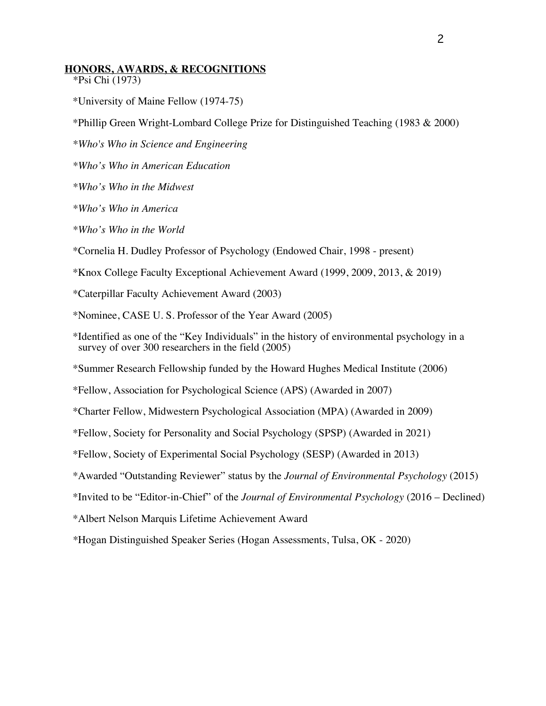## **HONORS, AWARDS, & RECOGNITIONS**

- \*Psi Chi (1973)
- \*University of Maine Fellow (1974-75)
- \*Phillip Green Wright-Lombard College Prize for Distinguished Teaching (1983 & 2000)
- *\*Who's Who in Science and Engineering*
- *\*Who's Who in American Education*
- *\*Who's Who in the Midwest*
- *\*Who's Who in America*
- *\*Who's Who in the World*
- \*Cornelia H. Dudley Professor of Psychology (Endowed Chair, 1998 present)
- \*Knox College Faculty Exceptional Achievement Award (1999, 2009, 2013, & 2019)
- \*Caterpillar Faculty Achievement Award (2003)
- \*Nominee, CASE U. S. Professor of the Year Award (2005)
- \*Identified as one of the "Key Individuals" in the history of environmental psychology in a survey of over 300 researchers in the field (2005)
- \*Summer Research Fellowship funded by the Howard Hughes Medical Institute (2006)
- \*Fellow, Association for Psychological Science (APS) (Awarded in 2007)
- \*Charter Fellow, Midwestern Psychological Association (MPA) (Awarded in 2009)
- \*Fellow, Society for Personality and Social Psychology (SPSP) (Awarded in 2021)
- \*Fellow, Society of Experimental Social Psychology (SESP) (Awarded in 2013)
- \*Awarded "Outstanding Reviewer" status by the *Journal of Environmental Psychology* (2015)
- \*Invited to be "Editor-in-Chief" of the *Journal of Environmental Psychology* (2016 Declined)
- \*Albert Nelson Marquis Lifetime Achievement Award
- *\**Hogan Distinguished Speaker Series (Hogan Assessments, Tulsa, OK 2020)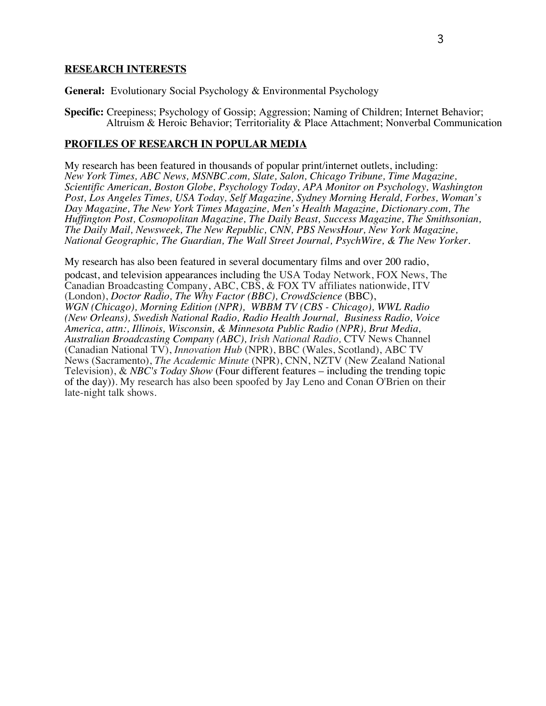## **RESEARCH INTERESTS**

**General:** Evolutionary Social Psychology & Environmental Psychology

**Specific:** Creepiness; Psychology of Gossip; Aggression; Naming of Children; Internet Behavior; Altruism & Heroic Behavior; Territoriality & Place Attachment; Nonverbal Communication

## **PROFILES OF RESEARCH IN POPULAR MEDIA**

My research has been featured in thousands of popular print/internet outlets, including: *New York Times, ABC News, MSNBC.com, Slate, Salon, Chicago Tribune, Time Magazine, Scientific American, Boston Globe, Psychology Today, APA Monitor on Psychology, Washington Post, Los Angeles Times, USA Today, Self Magazine, Sydney Morning Herald, Forbes, Woman's Day Magazine, The New York Times Magazine, Men's Health Magazine, Dictionary.com, The Huffington Post, Cosmopolitan Magazine, The Daily Beast, Success Magazine, The Smithsonian, The Daily Mail, Newsweek, The New Republic, CNN, PBS NewsHour, New York Magazine, National Geographic, The Guardian, The Wall Street Journal, PsychWire, & The New Yorker.*

My research has also been featured in several documentary films and over 200 radio, podcast, and television appearances including the USA Today Network, FOX News, The Canadian Broadcasting Company, ABC, CBS, & FOX TV affiliates nationwide, ITV (London), *Doctor Radio, The Why Factor (BBC), CrowdScience* (BBC), *WGN (Chicago), Morning Edition (NPR), WBBM TV (CBS - Chicago), WWL Radio (New Orleans), Swedish National Radio, Radio Health Journal, Business Radio, Voice America, attn:, Illinois, Wisconsin, & Minnesota Public Radio (NPR), Brut Media, Australian Broadcasting Company (ABC), Irish National Radio,* CTV News Channel (Canadian National TV), *Innovation Hub* (NPR), BBC (Wales, Scotland), ABC TV News (Sacramento), *The Academic Minute* (NPR), CNN, NZTV (New Zealand National Television), & *NBC's Today Show* (Four different features – including the trending topic of the day)). My research has also been spoofed by Jay Leno and Conan O'Brien on their late-night talk shows.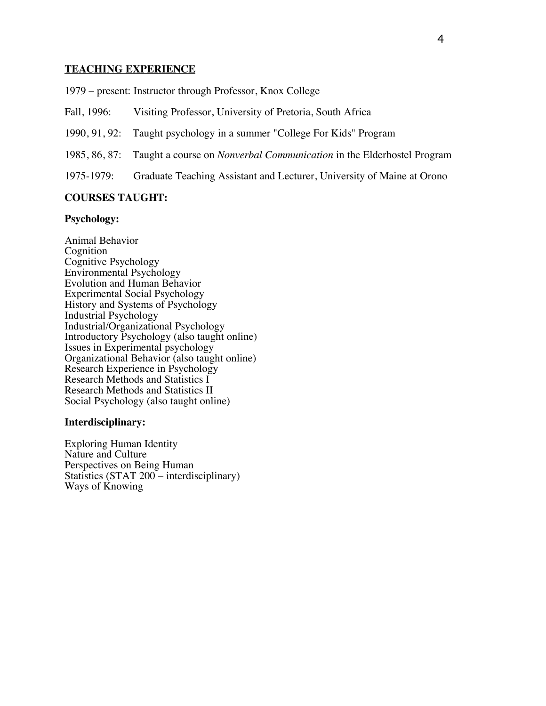## **TEACHING EXPERIENCE**

1979 – present: Instructor through Professor, Knox College

- Fall, 1996: Visiting Professor, University of Pretoria, South Africa
- 1990, 91, 92: Taught psychology in a summer "College For Kids" Program
- 1985, 86, 87: Taught a course on *Nonverbal Communication* in the Elderhostel Program
- 1975-1979: Graduate Teaching Assistant and Lecturer, University of Maine at Orono

## **COURSES TAUGHT:**

#### **Psychology:**

Animal Behavior Cognition Cognitive Psychology Environmental Psychology Evolution and Human Behavior Experimental Social Psychology History and Systems of Psychology Industrial Psychology Industrial/Organizational Psychology Introductory Psychology (also taught online) Issues in Experimental psychology Organizational Behavior (also taught online) Research Experience in Psychology Research Methods and Statistics I Research Methods and Statistics II Social Psychology (also taught online)

#### **Interdisciplinary:**

Exploring Human Identity Nature and Culture Perspectives on Being Human Statistics (STAT 200 – interdisciplinary) Ways of Knowing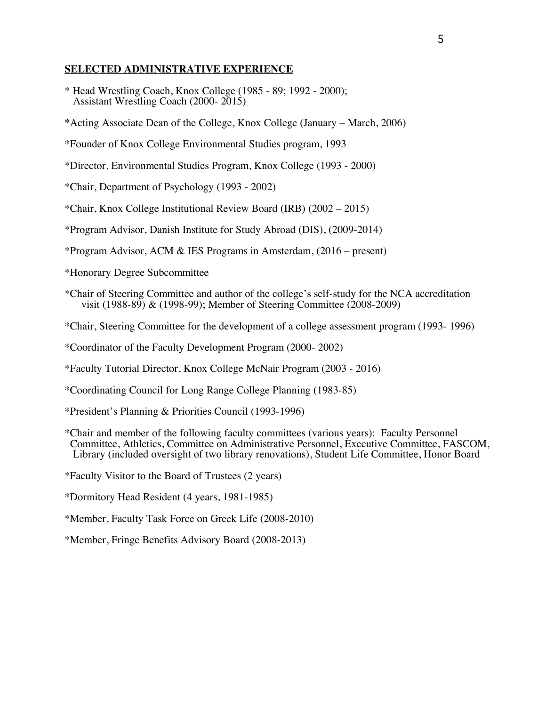## **SELECTED ADMINISTRATIVE EXPERIENCE**

\* Head Wrestling Coach, Knox College (1985 - 89; 1992 - 2000); Assistant Wrestling Coach (2000- 2015)

**\***Acting Associate Dean of the College, Knox College (January – March, 2006)

\*Founder of Knox College Environmental Studies program, 1993

\*Director, Environmental Studies Program, Knox College (1993 - 2000)

\*Chair, Department of Psychology (1993 - 2002)

\*Chair, Knox College Institutional Review Board (IRB) (2002 – 2015)

\*Program Advisor, Danish Institute for Study Abroad (DIS), (2009-2014)

\*Program Advisor, ACM & IES Programs in Amsterdam, (2016 – present)

\*Honorary Degree Subcommittee

\*Chair of Steering Committee and author of the college's self-study for the NCA accreditation visit (1988-89) & (1998-99); Member of Steering Committee (2008-2009)

\*Chair, Steering Committee for the development of a college assessment program (1993- 1996)

\*Coordinator of the Faculty Development Program (2000- 2002)

\*Faculty Tutorial Director, Knox College McNair Program (2003 - 2016)

\*Coordinating Council for Long Range College Planning (1983-85)

\*President's Planning & Priorities Council (1993-1996)

\*Chair and member of the following faculty committees (various years): Faculty Personnel Library (included oversight of two library renovations), Student Life Committee, Honor Board

\*Faculty Visitor to the Board of Trustees (2 years)

\*Dormitory Head Resident (4 years, 1981-1985)

\*Member, Faculty Task Force on Greek Life (2008-2010)

\*Member, Fringe Benefits Advisory Board (2008-2013)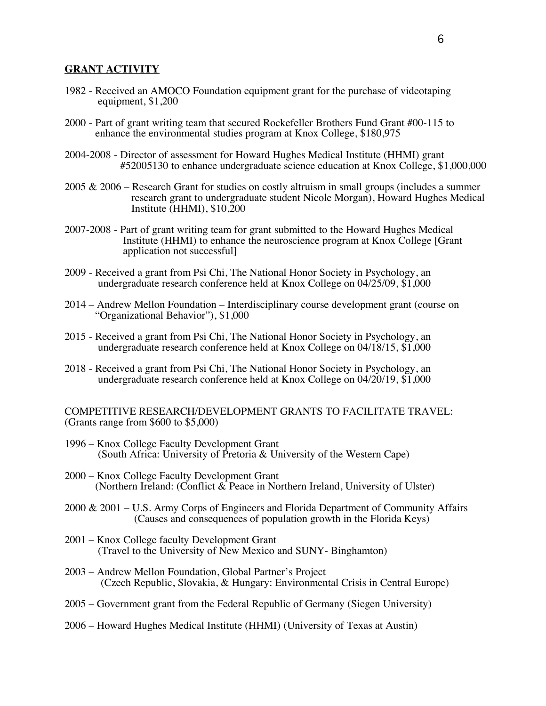## **GRANT ACTIVITY**

- 1982 Received an AMOCO Foundation equipment grant for the purchase of videotaping equipment, \$1,200
- 2000 Part of grant writing team that secured Rockefeller Brothers Fund Grant #00-115 to enhance the environmental studies program at Knox College, \$180,975
- 2004-2008 Director of assessment for Howard Hughes Medical Institute (HHMI) grant #52005130 to enhance undergraduate science education at Knox College, \$1,000,000
- 2005 & 2006 Research Grant for studies on costly altruism in small groups (includes a summer research grant to undergraduate student Nicole Morgan), Howard Hughes Medical Institute (HHMI), \$10,200
- 2007-2008 Part of grant writing team for grant submitted to the Howard Hughes Medical Institute (HHMI) to enhance the neuroscience program at Knox College [Grant application not successful]
- 2009 Received a grant from Psi Chi, The National Honor Society in Psychology, an undergraduate research conference held at Knox College on 04/25/09, \$1,000
- 2014 Andrew Mellon Foundation Interdisciplinary course development grant (course on "Organizational Behavior"), \$1,000
- 2015 Received a grant from Psi Chi, The National Honor Society in Psychology, an undergraduate research conference held at Knox College on 04/18/15, \$1,000
- 2018 Received a grant from Psi Chi, The National Honor Society in Psychology, an undergraduate research conference held at Knox College on 04/20/19, \$1,000

## COMPETITIVE RESEARCH/DEVELOPMENT GRANTS TO FACILITATE TRAVEL: (Grants range from \$600 to \$5,000)

- 1996 Knox College Faculty Development Grant (South Africa: University of Pretoria & University of the Western Cape)
- 2000 Knox College Faculty Development Grant (Northern Ireland: (Conflict & Peace in Northern Ireland, University of Ulster)
- 2000 & 2001 U.S. Army Corps of Engineers and Florida Department of Community Affairs (Causes and consequences of population growth in the Florida Keys)
- 2001 Knox College faculty Development Grant (Travel to the University of New Mexico and SUNY- Binghamton)
- 2003 Andrew Mellon Foundation, Global Partner's Project (Czech Republic, Slovakia, & Hungary: Environmental Crisis in Central Europe)
- 2005 Government grant from the Federal Republic of Germany (Siegen University)
- 2006 Howard Hughes Medical Institute (HHMI) (University of Texas at Austin)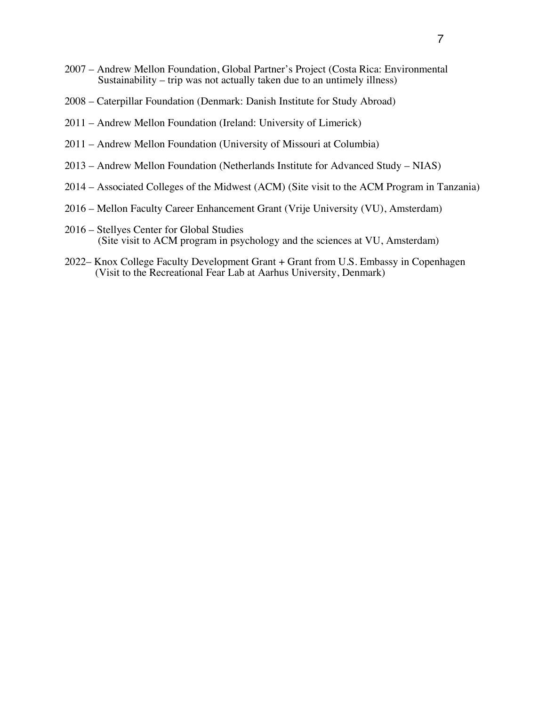- 2007 Andrew Mellon Foundation, Global Partner's Project (Costa Rica: Environmental Sustainability – trip was not actually taken due to an untimely illness)
- 2008 Caterpillar Foundation (Denmark: Danish Institute for Study Abroad)
- 2011 Andrew Mellon Foundation (Ireland: University of Limerick)
- 2011 Andrew Mellon Foundation (University of Missouri at Columbia)
- 2013 Andrew Mellon Foundation (Netherlands Institute for Advanced Study NIAS)
- 2014 Associated Colleges of the Midwest (ACM) (Site visit to the ACM Program in Tanzania)
- 2016 Mellon Faculty Career Enhancement Grant (Vrije University (VU), Amsterdam)
- 2016 Stellyes Center for Global Studies (Site visit to ACM program in psychology and the sciences at VU, Amsterdam)
- 2022– Knox College Faculty Development Grant + Grant from U.S. Embassy in Copenhagen (Visit to the Recreational Fear Lab at Aarhus University, Denmark)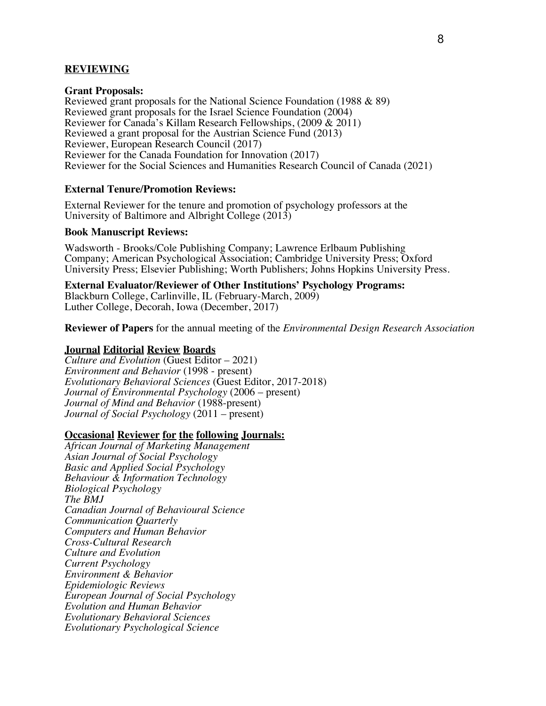## **REVIEWING**

## **Grant Proposals:**

Reviewed grant proposals for the National Science Foundation (1988 & 89) Reviewed grant proposals for the Israel Science Foundation (2004) Reviewer for Canada's Killam Research Fellowships, (2009 & 2011) Reviewed a grant proposal for the Austrian Science Fund (2013) Reviewer, European Research Council (2017) Reviewer for the Canada Foundation for Innovation (2017) Reviewer for the Social Sciences and Humanities Research Council of Canada (2021)

## **External Tenure/Promotion Reviews:**

External Reviewer for the tenure and promotion of psychology professors at the University of Baltimore and Albright College (2013)

## **Book Manuscript Reviews:**

Wadsworth - Brooks/Cole Publishing Company; Lawrence Erlbaum Publishing Company; American Psychological Association; Cambridge University Press; Oxford University Press; Elsevier Publishing; Worth Publishers; Johns Hopkins University Press.

**External Evaluator/Reviewer of Other Institutions' Psychology Programs:** Blackburn College, Carlinville, IL (February-March, 2009) Luther College, Decorah, Iowa (December, 2017)

**Reviewer of Papers** for the annual meeting of the *Environmental Design Research Association*

## **Journal Editorial Review Boards**

*Culture and Evolution* (Guest Editor – 2021) *Environment and Behavior* (1998 - present) *Evolutionary Behavioral Sciences* (Guest Editor, 2017-2018) *Journal of Environmental Psychology* (2006 – present) *Journal of Mind and Behavior* (1988-present) *Journal of Social Psychology* (2011 – present)

#### **Occasional Reviewer for the following Journals:**

*African Journal of Marketing Management Asian Journal of Social Psychology Basic and Applied Social Psychology Behaviour & Information Technology Biological Psychology The BMJ Canadian Journal of Behavioural Science Communication Quarterly Computers and Human Behavior Cross-Cultural Research Culture and Evolution Current Psychology Environment & Behavior Epidemiologic Reviews European Journal of Social Psychology Evolution and Human Behavior Evolutionary Behavioral Sciences Evolutionary Psychological Science*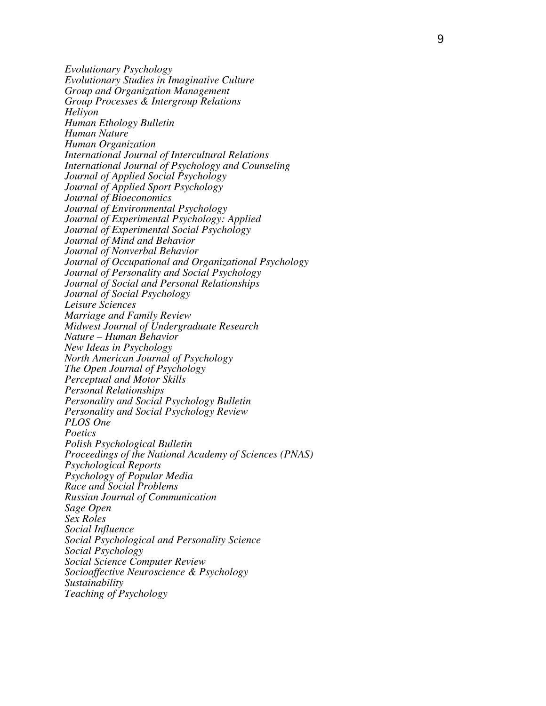*Evolutionary Psychology Evolutionary Studies in Imaginative Culture Group and Organization Management Group Processes & Intergroup Relations Heliyon Human Ethology Bulletin Human Nature Human Organization International Journal of Intercultural Relations International Journal of Psychology and Counseling Journal of Applied Social Psychology Journal of Applied Sport Psychology Journal of Bioeconomics Journal of Environmental Psychology Journal of Experimental Psychology: Applied Journal of Experimental Social Psychology Journal of Mind and Behavior Journal of Nonverbal Behavior Journal of Occupational and Organizational Psychology Journal of Personality and Social Psychology Journal of Social and Personal Relationships Journal of Social Psychology Leisure Sciences Marriage and Family Review Midwest Journal of Undergraduate Research Nature – Human Behavior New Ideas in Psychology North American Journal of Psychology The Open Journal of Psychology Perceptual and Motor Skills Personal Relationships Personality and Social Psychology Bulletin Personality and Social Psychology Review PLOS One Poetics Polish Psychological Bulletin Proceedings of the National Academy of Sciences (PNAS) Psychological Reports Psychology of Popular Media Race and Social Problems Russian Journal of Communication Sage Open Sex Roles Social Influence Social Psychological and Personality Science Social Psychology Social Science Computer Review Socioaffective Neuroscience & Psychology Sustainability Teaching of Psychology*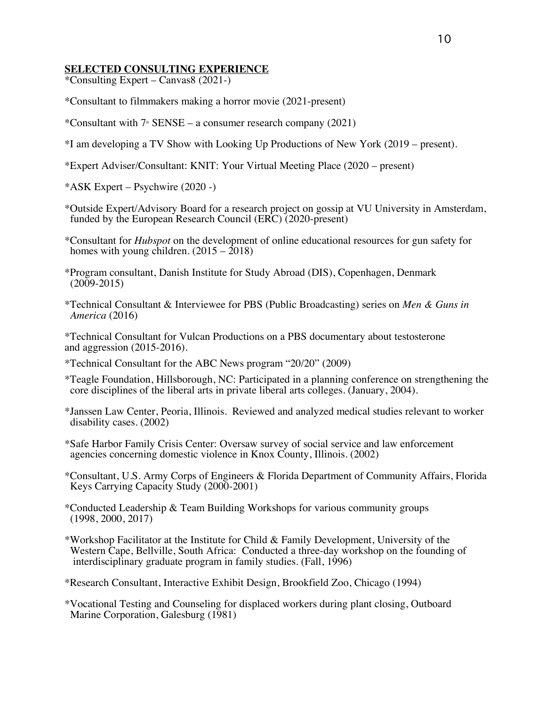# **SELECTED CONSULTING EXPERIENCE**

\*Consulting Expert – Canvas8 (2021-)

- \*Consultant to filmmakers making a horror movie (2021-present)
- \*Consultant with  $7 \text{°}$  SENSE a consumer research company (2021)
- \*I am developing a TV Show with Looking Up Productions of New York (2019 present).
- \*Expert Adviser/Consultant: KNIT: Your Virtual Meeting Place (2020 present)

\*ASK Expert – Psychwire (2020 -)

- \*Outside Expert/Advisory Board for a research project on gossip at VU University in Amsterdam, funded by the European Research Council (ERC) (2020-present)
- \*Consultant for *Hubspot* on the development of online educational resources for gun safety for homes with young children. (2015 2018)
- \*Program consultant, Danish Institute for Study Abroad (DIS), Copenhagen, Denmark  $(2009-2015)$
- \*Technical Consultant & Interviewee for PBS (Public Broadcasting) series on *Men & Guns in America* (2016)

\*Technical Consultant for Vulcan Productions on a PBS documentary about testosterone and aggression (2015-2016).

- \*Technical Consultant for the ABC News program "20/20" (2009)
- \*Teagle Foundation, Hillsborough, NC: Participated in a planning conference on strengthening the core disciplines of the liberal arts in private liberal arts colleges. (January, 2004).
- \*Janssen Law Center, Peoria, Illinois. Reviewed and analyzed medical studies relevant to worker disability cases. (2002)
- \*Safe Harbor Family Crisis Center: Oversaw survey of social service and law enforcement agencies concerning domestic violence in Knox County, Illinois. (2002)
- \*Consultant, U.S. Army Corps of Engineers & Florida Department of Community Affairs, Florida Keys Carrying Capacity Study (2000-2001)
- \*Conducted Leadership & Team Building Workshops for various community groups (1998, 2000, 2017)
- \*Workshop Facilitator at the Institute for Child & Family Development, University of the Western Cape, Bellville, South Africa: Conducted a three-day workshop on the founding of interdisciplinary graduate program in family studies. (Fall, 1996)
- \*Research Consultant, Interactive Exhibit Design, Brookfield Zoo, Chicago (1994)
- \*Vocational Testing and Counseling for displaced workers during plant closing, Outboard Marine Corporation, Galesburg (1981)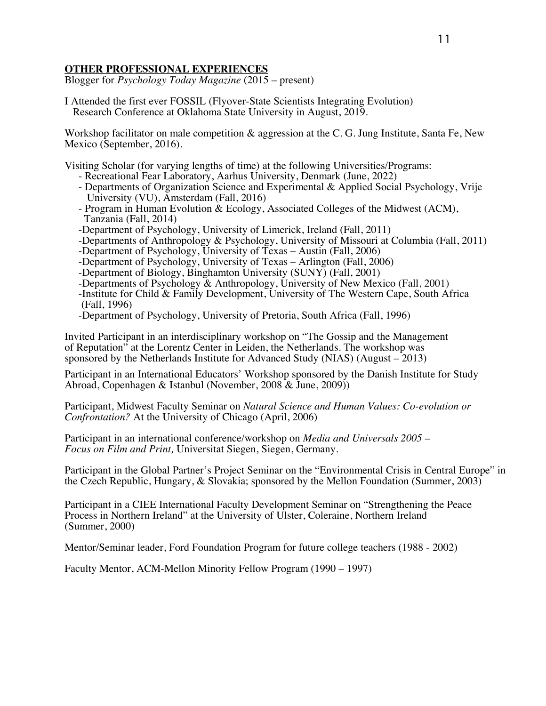# **OTHER PROFESSIONAL EXPERIENCES**

Blogger for *Psychology Today Magazine* (2015 – present)

I Attended the first ever FOSSIL (Flyover-State Scientists Integrating Evolution) Research Conference at Oklahoma State University in August, 2019.

Workshop facilitator on male competition & aggression at the C. G. Jung Institute, Santa Fe, New Mexico (September, 2016).

Visiting Scholar (for varying lengths of time) at the following Universities/Programs:

- Recreational Fear Laboratory, Aarhus University, Denmark (June, 2022)
- Departments of Organization Science and Experimental & Applied Social Psychology, Vrije University (VU), Amsterdam (Fall, 2016)
- Program in Human Evolution & Ecology, Associated Colleges of the Midwest (ACM), Tanzania (Fall, 2014)
- 
- -Department of Psychology, University of Limerick, Ireland (Fall, 2011)<br>-Departments of Anthropology & Psychology, University of Missouri at Columbia (Fall, 2011)
- 
- 

- 
- -Department of Psychology, University of Texas Austin (Fall, 2006)<br>
-Department of Psychology, University of Texas Arlington (Fall, 2006)<br>
-Department of Biology, Binghamton University (SUNY) (Fall, 2001)<br>
-Departments
- 

Invited Participant in an interdisciplinary workshop on "The Gossip and the Management of Reputation" at the Lorentz Center in Leiden, the Netherlands. The workshop was sponsored by the Netherlands Institute for Advanced Study (NIAS) (August – 2013)

Participant in an International Educators' Workshop sponsored by the Danish Institute for Study Abroad, Copenhagen & Istanbul (November, 2008 & June, 2009))

Participant, Midwest Faculty Seminar on *Natural Science and Human Values: Co-evolution or Confrontation?* At the University of Chicago (April, 2006)

Participant in an international conference/workshop on *Media and Universals 2005 – Focus on Film and Print,* Universitat Siegen, Siegen, Germany.

Participant in the Global Partner's Project Seminar on the "Environmental Crisis in Central Europe" in the Czech Republic, Hungary, & Slovakia; sponsored by the Mellon Foundation (Summer, 2003)

Participant in a CIEE International Faculty Development Seminar on "Strengthening the Peace Process in Northern Ireland" at the University of Ulster, Coleraine, Northern Ireland (Summer, 2000)

Mentor/Seminar leader, Ford Foundation Program for future college teachers (1988 - 2002)

Faculty Mentor, ACM-Mellon Minority Fellow Program (1990 – 1997)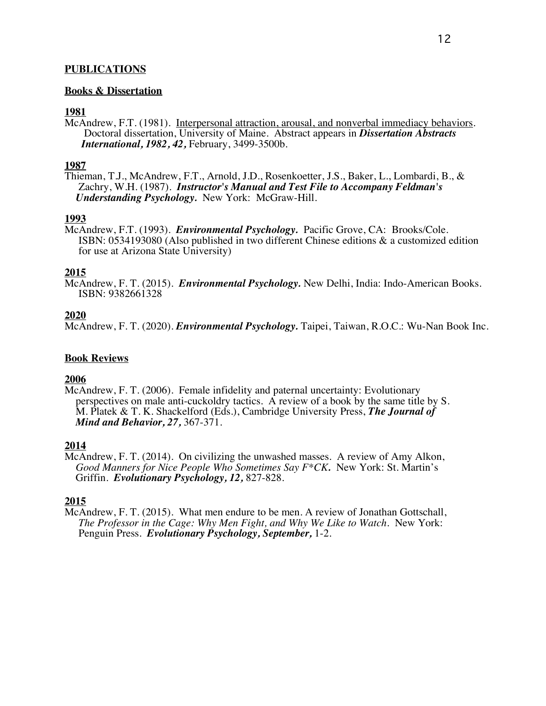# **PUBLICATIONS**

## **Books & Dissertation**

## **1981**

McAndrew, F.T. (1981). Interpersonal attraction, arousal, and nonverbal immediacy behaviors. Doctoral dissertation, University of Maine. Abstract appears in *Dissertation Abstracts International, 1982, 42,* February, 3499-3500b.

## **1987**

Thieman, T.J., McAndrew, F.T., Arnold, J.D., Rosenkoetter, J.S., Baker, L., Lombardi, B., & Zachry, W.H. (1987). *Instructor's Manual and Test File to Accompany Feldman's Understanding Psychology.* New York: McGraw-Hill.

# **1993**

McAndrew, F.T. (1993). *Environmental Psychology.* Pacific Grove, CA: Brooks/Cole. ISBN: 0534193080 (Also published in two different Chinese editions & a customized edition for use at Arizona State University)

## **2015**

McAndrew, F. T. (2015). *Environmental Psychology.* New Delhi, India: Indo-American Books. ISBN: 9382661328

# **2020**

McAndrew, F. T. (2020). *Environmental Psychology.* Taipei, Taiwan, R.O.C.: Wu-Nan Book Inc.

## **Book Reviews**

## **2006**

McAndrew, F. T. (2006). Female infidelity and paternal uncertainty: Evolutionary<br>perspectives on male anti-cuckoldry tactics. A review of a book by the same title by S. M. Platek & T. K. Shackelford (Eds.), Cambridge University Press, *The Journal of Mind and Behavior*, 27, 367-371.

## **2014**

McAndrew, F. T. (2014). On civilizing the unwashed masses. A review of Amy Alkon, *Good Manners for Nice People Who Sometimes Say F\*CK.* New York: St. Martin's Griffin. *Evolutionary Psychology, 12,* 827-828.

# **2015**

McAndrew, F. T. (2015). What men endure to be men. A review of Jonathan Gottschall,  *The Professor in the Cage: Why Men Fight, and Why We Like to Watch.* New York: Penguin Press. *Evolutionary Psychology, September,* 1-2.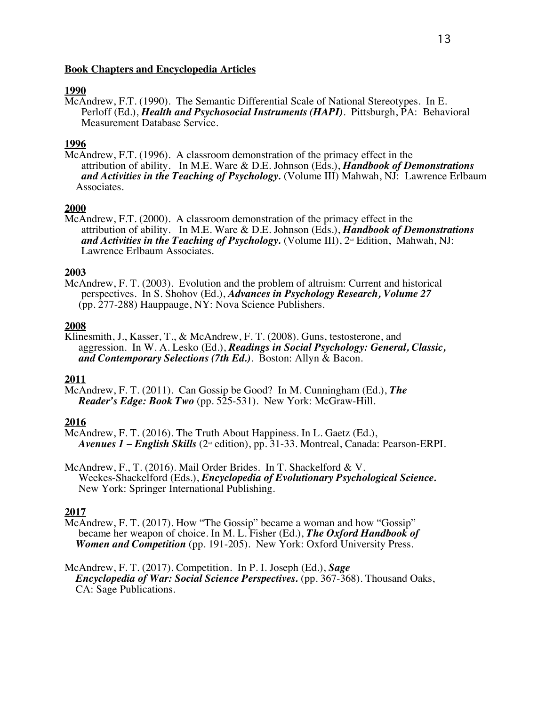## **Book Chapters and Encyclopedia Articles**

## **1990**

McAndrew, F.T. (1990). The Semantic Differential Scale of National Stereotypes. In E. Perloff (Ed.), *Health and Psychosocial Instruments (HAPI)*. Pittsburgh, PA: Behavioral Measurement Database Service.

# **1996**

McAndrew, F.T. (1996). A classroom demonstration of the primacy effect in the attribution of ability. In M.E. Ware & D.E. Johnson (Eds.), *Handbook of Demonstrations and Activities in the Teaching of Psychology.* (Volume III) Mahwah, NJ: Lawrence Erlbaum Associates.

## **2000**

McAndrew, F.T. (2000). A classroom demonstration of the primacy effect in the attribution of ability. In M.E. Ware & D.E. Johnson (Eds.), *Handbook of Demonstrations*  and Activities in the Teaching of Psychology. (Volume III), 2<sup>nd</sup> Edition, Mahwah, NJ: Lawrence Erlbaum Associates.

## **2003**

McAndrew, F. T. (2003). Evolution and the problem of altruism: Current and historical perspectives. In S. Shohov (Ed.), *Advances in Psychology Research, Volume 27* (pp. 277-288) Hauppauge, NY: Nova Science Publishers.

#### **2008**

Klinesmith, J., Kasser, T., & McAndrew, F. T. (2008). Guns, testosterone, and aggression. In W. A. Lesko (Ed.), *Readings in Social Psychology: General, Classic, and Contemporary Selections (7th Ed.)*. Boston: Allyn & Bacon.

#### **2011**

McAndrew, F. T. (2011). Can Gossip be Good? In M. Cunningham (Ed.), *The Reader's Edge: Book Two* (pp. 525-531). New York: McGraw-Hill.

## **2016**

- McAndrew, F. T. (2016). The Truth About Happiness. In L. Gaetz (Ed.), *Avenues 1 – English Skills* (2<sup> $\text{nd}$ </sup> edition), pp. 31-33. Montreal, Canada: Pearson-ERPI.
- McAndrew, F., T. (2016). Mail Order Brides. In T. Shackelford & V. Weekes-Shackelford (Eds.), *Encyclopedia of Evolutionary Psychological Science.* New York: Springer International Publishing.

#### **2017**

McAndrew, F. T. (2017). How "The Gossip" became a woman and how "Gossip" became her weapon of choice. In M. L. Fisher (Ed.), The Oxford Handbook of Women and Competition (pp. 191-205). New York: Oxford University Press.

McAndrew, F. T. (2017). Competition. In P. I. Joseph (Ed.), *Sage Encyclopedia of War: Social Science Perspectives.* (pp. 367-368). Thousand Oaks, CA: Sage Publications.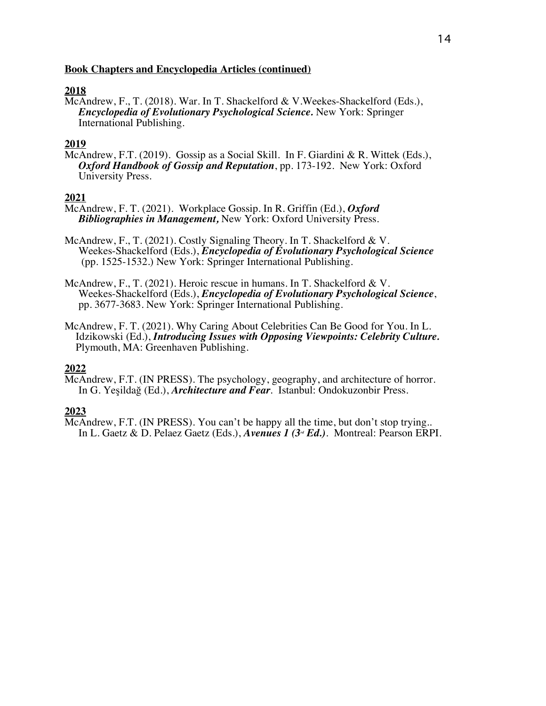## **Book Chapters and Encyclopedia Articles (continued)**

# **2018**

McAndrew, F., T. (2018). War. In T. Shackelford & V.Weekes-Shackelford (Eds.), *Encyclopedia of Evolutionary Psychological Science.* New York: Springer International Publishing.

# **2019**

McAndrew, F.T. (2019). Gossip as a Social Skill. In F. Giardini & R. Wittek (Eds.), *Oxford Handbook of Gossip and Reputation*, pp. 173-192. New York: Oxford University Press.

# **2021**

McAndrew, F. T. (2021). Workplace Gossip. In R. Griffin (Ed.), *Oxford Bibliographies in Management,* New York: Oxford University Press.

McAndrew, F., T. (2021). Costly Signaling Theory. In T. Shackelford & V. Weekes-Shackelford (Eds.), *Encyclopedia of Evolutionary Psychological Science* (pp. 1525-1532.) New York: Springer International Publishing.

McAndrew, F., T. (2021). Heroic rescue in humans. In T. Shackelford & V.<br>Weekes-Shackelford (Eds.), *Encyclopedia of Evolutionary Psychological Science*, pp. 3677-3683. New York: Springer International Publishing.

McAndrew, F. T. (2021). Why Caring About Celebrities Can Be Good for You. In L. Idzikowski (Ed.), *Introducing Issues with Opposing Viewpoints: Celebrity Culture.*  Plymouth, MA: Greenhaven Publishing.

# **2022**

McAndrew, F.T. (IN PRESS). The psychology, geography, and architecture of horror. In G. Yeşildağ (Ed.), *Architecture and Fear.* Istanbul: Ondokuzonbir Press.

# **2023**

McAndrew, F.T. (IN PRESS). You can't be happy all the time, but don't stop trying..<br>In L. Gaetz & D. Pelaez Gaetz (Eds.), *Avenues 1 (3<sup>rd</sup> Ed.*). Montreal: Pearson ERPI.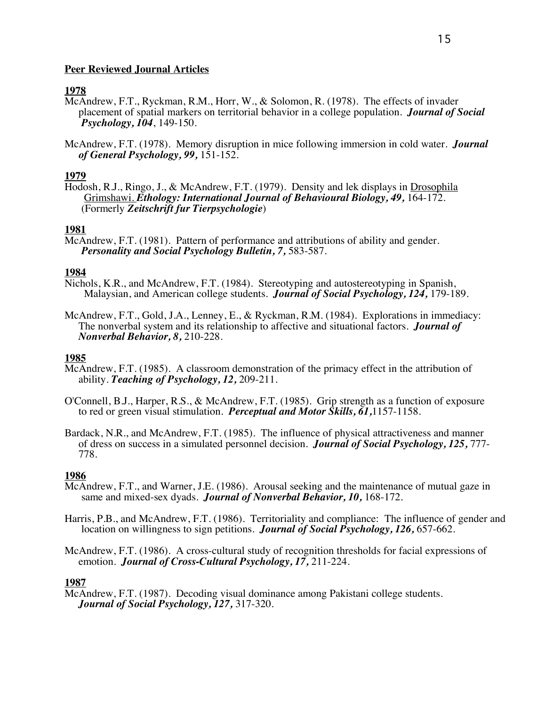## **Peer Reviewed Journal Articles**

# **1978**

- McAndrew, F.T., Ryckman, R.M., Horr, W., & Solomon, R. (1978). The effects of invader placement of spatial markers on territorial behavior in a college population. *Journal of Social Psychology, 104*, 149-150.
- McAndrew, F.T. (1978). Memory disruption in mice following immersion in cold water. *Journal of General Psychology, 99,* 151-152.

# **1979**

Hodosh, R.J., Ringo, J., & McAndrew, F.T. (1979). Density and lek displays in Drosophila Grimshawi. *Ethology: International Journal of Behavioural Biology, 49,* 164-172. (Formerly *Zeitschrift fur Tierpsychologie*)

# **1981**

McAndrew, F.T. (1981). Pattern of performance and attributions of ability and gender. *Personality and Social Psychology Bulletin, 7,* 583-587.

## **1984**

- Nichols, K.R., and McAndrew, F.T. (1984). Stereotyping and autostereotyping in Spanish, Malaysian, and American college students. *Journal of Social Psychology, 124,* 179-189.
- McAndrew, F.T., Gold, J.A., Lenney, E., & Ryckman, R.M. (1984). Explorations in immediacy: The nonverbal system and its relationship to affective and situational factors. *Journal of Nonverbal Behavior, 8,* 210-228.

## **1985**

- McAndrew, F.T. (1985). A classroom demonstration of the primacy effect in the attribution of ability. *Teaching of Psychology, 12,* 209-211.
- O'Connell, B.J., Harper, R.S., & McAndrew, F.T. (1985). Grip strength as a function of exposure to red or green visual stimulation. *Perceptual and Motor Skills, 61,*1157-1158.
- Bardack, N.R., and McAndrew, F.T. (1985). The influence of physical attractiveness and manner of dress on success in a simulated personnel decision. *Journal of Social Psychology, 125,* 777- 778.

## **1986**

- McAndrew, F.T., and Warner, J.E. (1986). Arousal seeking and the maintenance of mutual gaze in same and mixed-sex dyads. *Journal of Nonverbal Behavior, 10,* 168-172.
- Harris, P.B., and McAndrew, F.T. (1986). Territoriality and compliance: The influence of gender and location on willingness to sign petitions. *Journal of Social Psychology, 126,* 657-662.
- McAndrew, F.T. (1986). A cross-cultural study of recognition thresholds for facial expressions of emotion. *Journal of Cross-Cultural Psychology, 17,* 211-224.

## **1987**

McAndrew, F.T. (1987). Decoding visual dominance among Pakistani college students. *Journal of Social Psychology, 127,* 317-320.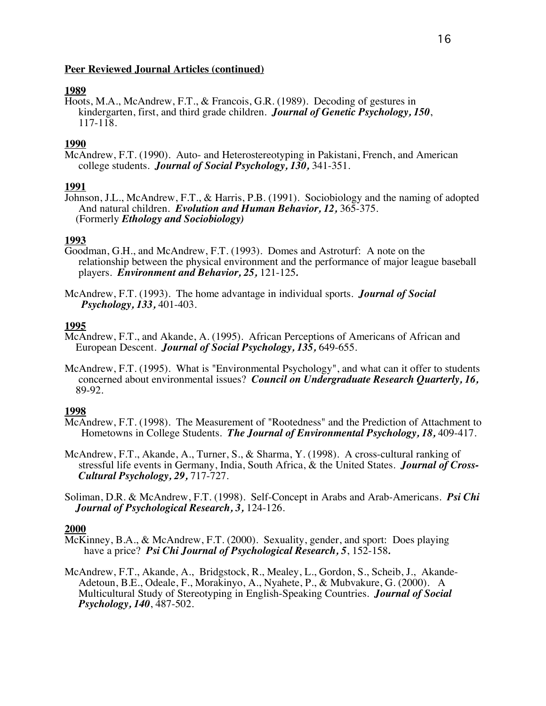# **1989**

Hoots, M.A., McAndrew, F.T., & Francois, G.R. (1989). Decoding of gestures in kindergarten, first, and third grade children. *Journal of Genetic Psychology, 150*, 117-118.

# **1990**

McAndrew, F.T. (1990). Auto- and Heterostereotyping in Pakistani, French, and American college students. *Journal of Social Psychology, 130,* 341-351.

# **1991**

Johnson, J.L., McAndrew, F.T., & Harris, P.B. (1991). Sociobiology and the naming of adopted And natural children. *Evolution and Human Behavior, 12,* 365-375. (Formerly *Ethology and Sociobiology)*

# **1993**

- Goodman, G.H., and McAndrew, F.T. (1993). Domes and Astroturf: A note on the relationship between the physical environment and the performance of major league baseball players. *Environment and Behavior, 25,* 121-125*.*
- McAndrew, F.T. (1993). The home advantage in individual sports. *Journal of Social Psychology, 133,* 401-403.

# **1995**

- McAndrew, F.T., and Akande, A. (1995). African Perceptions of Americans of African and European Descent. *Journal of Social Psychology, 135,* 649-655.
- McAndrew, F.T. (1995). What is "Environmental Psychology", and what can it offer to students concerned about environmental issues? *Council on Undergraduate Research Quarterly, 16,* 89-92.

# **1998**

- McAndrew, F.T. (1998). The Measurement of "Rootedness" and the Prediction of Attachment to Hometowns in College Students. *The Journal of Environmental Psychology, 18,* 409-417.
- McAndrew, F.T., Akande, A., Turner, S., & Sharma, Y. (1998). A cross-cultural ranking of stressful life events in Germany, India, South Africa, & the United States. *Journal of Cross- Cultural Psychology, 29,* 717-727.
- Soliman, D.R. & McAndrew, F.T. (1998). Self-Concept in Arabs and Arab-Americans. *Psi Chi Journal of Psychological Research, 3,* 124-126.

- McKinney, B.A., & McAndrew, F.T. (2000). Sexuality, gender, and sport: Does playing have a price? *Psi Chi Journal of Psychological Research, 5*, 152-158*.*
- McAndrew, F.T., Akande, A., Bridgstock, R., Mealey, L., Gordon, S., Scheib, J., Akande- Adetoun, B.E., Odeale, F., Morakinyo, A., Nyahete, P., & Mubvakure, G. (2000). A Multicultural Study of Stereotyping in English-Speaking Countries. *Journal of Social Psychology, 140*, 487-502.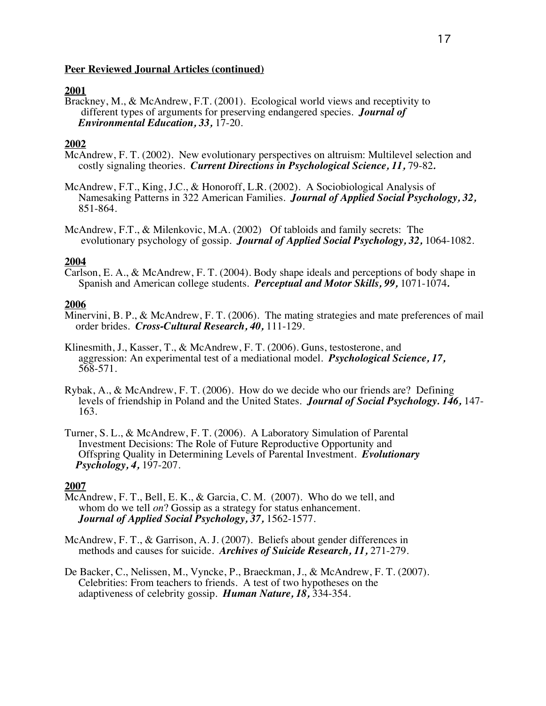## **2001**

Brackney, M., & McAndrew, F.T. (2001). Ecological world views and receptivity to different types of arguments for preserving endangered species. *Journal of Environmental Education, 33,* 17-20.

#### **2002**

- McAndrew, F. T. (2002). New evolutionary perspectives on altruism: Multilevel selection and costly signaling theories. *Current Directions in Psychological Science, 11,* 79-82*.*
- McAndrew, F.T., King, J.C., & Honoroff, L.R. (2002). A Sociobiological Analysis of Namesaking Patterns in 322 American Families. *Journal of Applied Social Psychology, 32,* 851-864.
- McAndrew, F.T., & Milenkovic, M.A. (2002) Of tabloids and family secrets: The evolutionary psychology of gossip. *Journal of Applied Social Psychology, 32,* 1064-1082.

#### **2004**

Carlson, E. A., & McAndrew, F. T. (2004). Body shape ideals and perceptions of body shape in Spanish and American college students. *Perceptual and Motor Skills, 99,* 1071-1074*.*

#### **2006**

- Minervini, B. P., & McAndrew, F. T. (2006). The mating strategies and mate preferences of mail order brides. *Cross-Cultural Research, 40,* 111-129.
- Klinesmith, J., Kasser, T., & McAndrew, F. T. (2006). Guns, testosterone, and aggression: An experimental test of a mediational model. *Psychological Science, 17,* 568-571.
- Rybak, A., & McAndrew, F. T. (2006). How do we decide who our friends are? Defining levels of friendship in Poland and the United States. *Journal of Social Psychology. 146,* 147- 163.
- Turner, S. L., & McAndrew, F. T. (2006). A Laboratory Simulation of Parental Investment Decisions: The Role of Future Reproductive Opportunity and Offspring Quality in Determining Levels of Parental Investment. *Evolutionary Psychology, 4,* 197-207.

- McAndrew, F. T., Bell, E. K., & Garcia, C. M. (2007). Who do we tell, and whom do we tell *on*? Gossip as a strategy for status enhancement. *Journal of Applied Social Psychology, 37,* 1562-1577.
- McAndrew, F. T., & Garrison, A. J. (2007). Beliefs about gender differences in methods and causes for suicide. *Archives of Suicide Research, 11,* 271-279.
- De Backer, C., Nelissen, M., Vyncke, P., Braeckman, J., & McAndrew, F. T. (2007). Celebrities: From teachers to friends. A test of two hypotheses on the adaptiveness of celebrity gossip. *Human Nature, 18,* 334-354.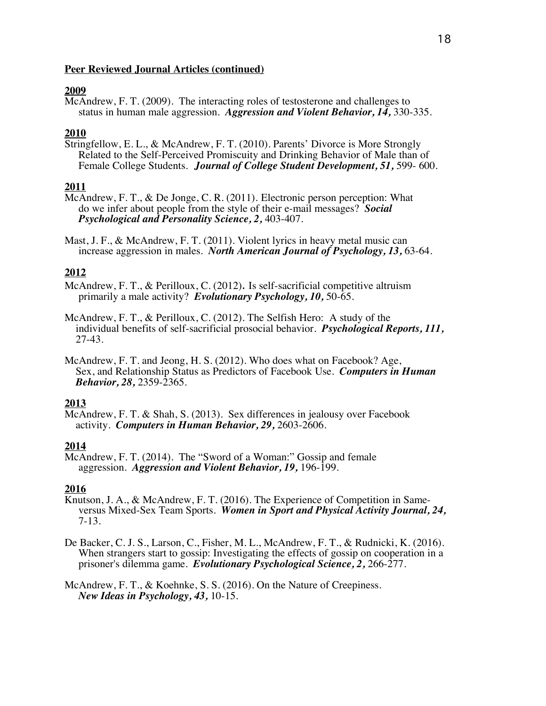# **2009**

McAndrew, F. T. (2009). The interacting roles of testosterone and challenges to status in human male aggression. *Aggression and Violent Behavior, 14,* 330-335.

# **2010**

Stringfellow, E. L., & McAndrew, F. T. (2010). Parents' Divorce is More Strongly Related to the Self-Perceived Promiscuity and Drinking Behavior of Male than of Female College Students. *Journal of College Student Development, 51,* 599- 600.

# **2011**

- McAndrew, F. T., & De Jonge, C. R. (2011). Electronic person perception: What do we infer about people from the style of their e-mail messages? *Social Psychological and Personality Science, 2,* 403-407.
- Mast, J. F., & McAndrew, F. T. (2011). Violent lyrics in heavy metal music can increase aggression in males. *North American Journal of Psychology, 13,* 63-64.

# **2012**

McAndrew, F. T., & Perilloux, C. (2012). Is self-sacrificial competitive altruism primarily a male activity? *Evolutionary Psychology, 10,* 50-65.

McAndrew, F. T., & Perilloux, C. (2012). The Selfish Hero: A study of the individual benefits of self-sacrificial prosocial behavior. *Psychological Reports, 111,* 27-43.

McAndrew, F. T. and Jeong, H. S. (2012). Who does what on Facebook? Age, Sex, and Relationship Status as Predictors of Facebook Use. *Computers in Human Behavior, 28,* 2359-2365.

## **2013**

McAndrew, F. T. & Shah, S. (2013). Sex differences in jealousy over Facebook activity. *Computers in Human Behavior, 29,* 2603-2606.

# **2014**

McAndrew, F. T. (2014). The "Sword of a Woman:" Gossip and female aggression. *Aggression and Violent Behavior, 19,* 196-199.

## **2016**

- Knutson, J. A., & McAndrew, F. T. (2016). The Experience of Competition in Same-<br>versus Mixed-Sex Team Sports. *Women in Sport and Physical Activity Journal, 24,*<br>7-13.
- De Backer, C. J. S., Larson, C., Fisher, M. L., McAndrew, F. T., & Rudnicki, K. (2016). When strangers start to gossip: Investigating the effects of gossip on cooperation in a prisoner's dilemma game. *Evolutionary Psychological Science, 2,* 266-277.

McAndrew, F. T., & Koehnke, S. S. (2016). On the Nature of Creepiness. *New Ideas in Psychology, 43,* 10-15.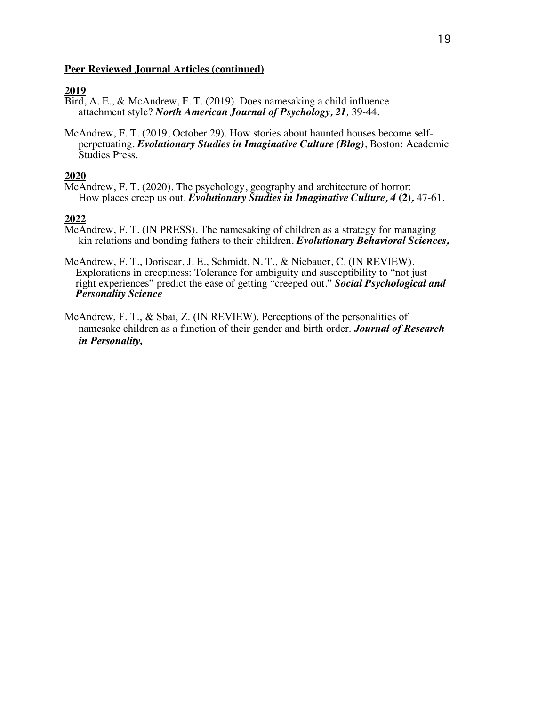# **2019**

- Bird, A. E., & McAndrew, F. T. (2019). Does namesaking a child influence attachment style? *North American Journal of Psychology, 21,* 39-44.
- McAndrew, F. T. (2019, October 29). How stories about haunted houses become self perpetuating. *Evolutionary Studies in Imaginative Culture (Blog)*, Boston: Academic Studies Press.

## **2020**

McAndrew, F. T. (2020). The psychology, geography and architecture of horror: How places creep us out. *Evolutionary Studies in Imaginative Culture, 4* **(2)***,* 47-61.

- McAndrew, F. T. (IN PRESS). The namesaking of children as a strategy for managing kin relations and bonding fathers to their children. *Evolutionary Behavioral Sciences,*
- McAndrew, F. T., Doriscar, J. E., Schmidt, N. T., & Niebauer, C. (IN REVIEW).<br>Explorations in creepiness: Tolerance for ambiguity and susceptibility to "not just<br>right experiences" predict the ease of getting "creeped out.
- McAndrew, F. T., & Sbai, Z. (IN REVIEW). Perceptions of the personalities of namesake children as a function of their gender and birth order. *Journal of Research in Personality,*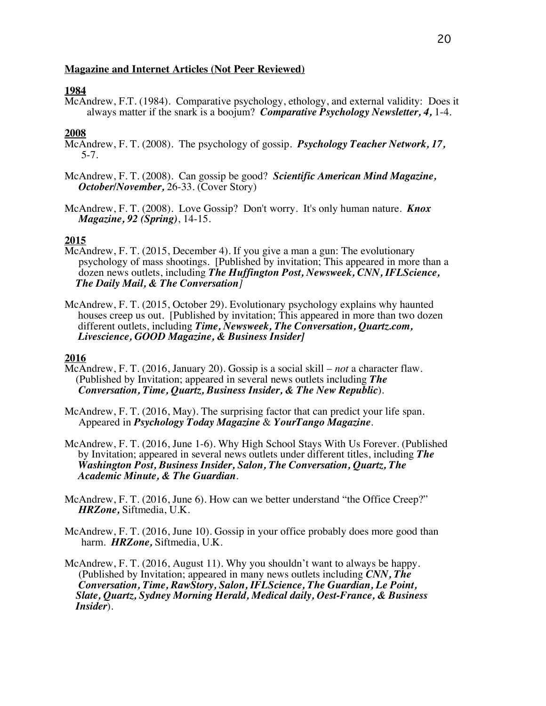## **Magazine and Internet Articles (Not Peer Reviewed)**

## **1984**

McAndrew, F.T. (1984). Comparative psychology, ethology, and external validity: Does it always matter if the snark is a boojum? *Comparative Psychology Newsletter, 4,* 1-4.

## **2008**

McAndrew, F. T. (2008). The psychology of gossip. *Psychology Teacher Network, 17,* 5-7.

- McAndrew, F. T. (2008). Can gossip be good? *Scientific American Mind Magazine, October/November,* 26-33. (Cover Story)
- McAndrew, F. T. (2008). Love Gossip? Don't worry. It's only human nature. *Knox Magazine, 92 (Spring)*, 14-15.

## **2015**

- McAndrew, F. T. (2015, December 4). If you give a man a gun: The evolutionary<br>psychology of mass shootings. [Published by invitation; This appeared in more than a<br>dozen news outlets, including *The Huffington Post, Newswee*
- McAndrew, F. T. (2015, October 29). Evolutionary psychology explains why haunted houses creep us out. [Published by invitation; This appeared in more than two dozen different outlets, including *Time, Newsweek, The Conversation, Quartz.com, Livescience, GOOD Magazine, & Business Insider]*

- McAndrew, F. T. (2016, January 20). Gossip is a social skill *not* a character flaw. (Published by Invitation; appeared in several news outlets including *The Conversation, Time, Quartz, Business Insider, & The New Republic*).
- McAndrew, F. T. (2016, May). The surprising factor that can predict your life span. Appeared in *Psychology Today Magazine* & *YourTango Magazine*.
- McAndrew, F. T. (2016, June 1-6). Why High School Stays With Us Forever. (Published by Invitation; appeared in several news outlets under different titles, including *The Washington Post, Business Insider, Salon, The Conversation, Quartz, The Academic Minute, & The Guardian*.
- McAndrew, F. T. (2016, June 6). How can we better understand "the Office Creep?" *HRZone,* Siftmedia, U.K.
- McAndrew, F. T. (2016, June 10). Gossip in your office probably does more good than harm. *HRZone,* Siftmedia, U.K.
- McAndrew, F. T. (2016, August 11). Why you shouldn't want to always be happy. (Published by Invitation; appeared in many news outlets including *CNN, The Conversation, Time, RawStory, Salon, IFLScience, The Guardian, Le Point, Slate, Quartz, Sydney Morning Herald, Medical daily, Oest-France, & Business Insider*).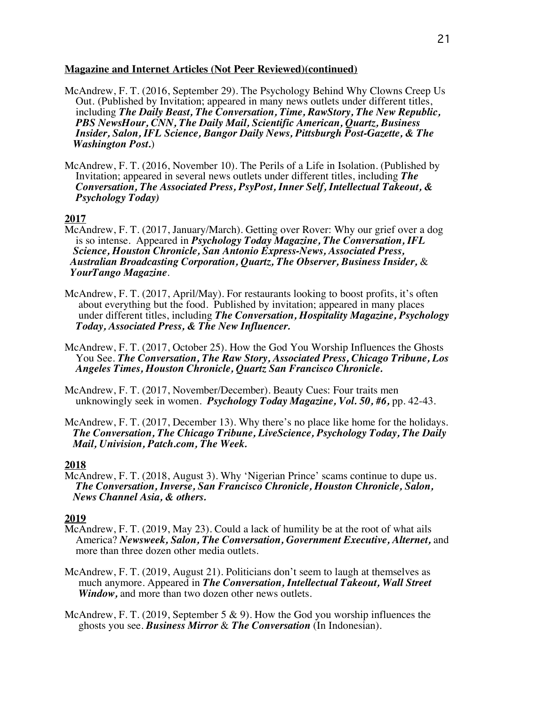## **Magazine and Internet Articles (Not Peer Reviewed)(continued)**

- McAndrew, F. T. (2016, September 29). The Psychology Behind Why Clowns Creep Us Out. (Published by Invitation; appeared in many news outlets under different titles, including *The Daily Beast, The Conversation, Time, RawStory, The New Republic, PBS NewsHour, CNN, The Daily Mail, Scientific American, Quartz, Business Insider, Salon, IFL Science, Bangor Daily News, Pittsburgh Post-Gazette, & The Washington Post.*)
- McAndrew, F. T. (2016, November 10). The Perils of a Life in Isolation. (Published by Invitation; appeared in several news outlets under different titles, including *The Conversation, The Associated Press, PsyPost, Inner Self, Intellectual Takeout, & Psychology Today)*

# **2017**

- McAndrew, F. T. (2017, January/March). Getting over Rover: Why our grief over a dog<br>is so intense. Appeared in *Psychology Today Magazine*, The Conversation, IFL Science, Houston Chronicle, San Antonio Express-News, Associated Press,<br>Australian Broadcasting Corporation, Quartz, The Observer, Business Insider, &<br>YourTango Magazine.
- McAndrew, F. T. (2017, April/May). For restaurants looking to boost profits, it's often about everything but the food. Published by invitation; appeared in many places about everything the fooderstation, *Hospitality Magazine*, *Psychology* under different titles, including *The Conversation, Hospitality Magazine, Psychology Today, Associated Press, & The New Influencer.*
- McAndrew, F. T. (2017, October 25). How the God You Worship Influences the Ghosts You See. *The Conversation, The Raw Story, Associated Press, Chicago Tribune, Los Angeles Times, Houston Chronicle, Quartz San Francisco Chronicle.*
- McAndrew, F. T. (2017, November/December). Beauty Cues: Four traits men unknowingly seek in women. *Psychology Today Magazine, Vol. 50, #6,* pp. 42-43.
- McAndrew, F. T. (2017, December 13). Why there's no place like home for the holidays. *The Conversation, The Chicago Tribune, LiveScience, Psychology Today, The Daily Mail, Univision, Patch.com, The Week.*

# **2018**

McAndrew, F. T. (2018, August 3). Why 'Nigerian Prince' scams continue to dupe us.  *The Conversation, Inverse, San Francisco Chronicle, Houston Chronicle, Salon, News Channel Asia, & others.*

- McAndrew, F. T. (2019, May 23). Could a lack of humility be at the root of what ails America? *Newsweek, Salon, The Conversation, Government Executive, Alternet,* and more than three dozen other media outlets.
- McAndrew, F. T. (2019, August 21). Politicians don't seem to laugh at themselves as much anymore. Appeared in *The Conversation, Intellectual Takeout, Wall Street Window,* and more than two dozen other news outlets.
- McAndrew, F. T. (2019, September 5 & 9). How the God you worship influences the ghosts you see. *Business Mirror* & *The Conversation* (In Indonesian).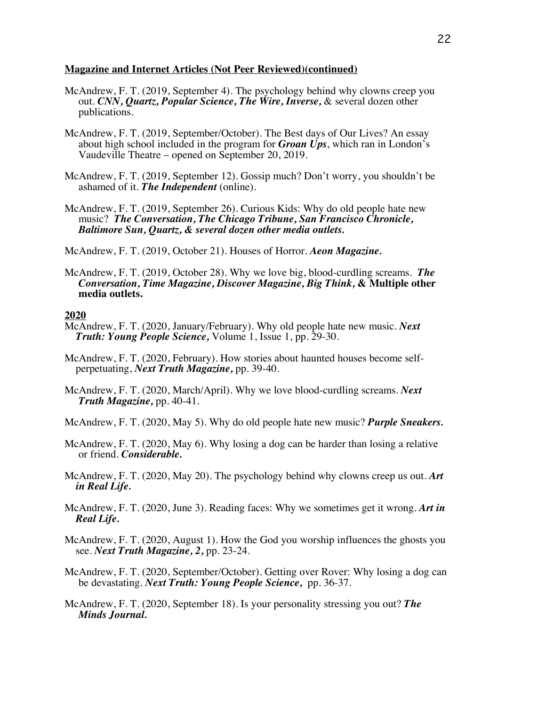#### **Magazine and Internet Articles (Not Peer Reviewed)(continued)**

- McAndrew, F. T. (2019, September 4). The psychology behind why clowns creep you out. *CNN, Quartz, Popular Science, The Wire, Inverse,* & several dozen other publications.
- McAndrew, F. T. (2019, September/October). The Best days of Our Lives? An essay about high school included in the program for *Groan Ups*, which ran in London's Vaudeville Theatre – opened on September 20, 2019.
- McAndrew, F. T. (2019, September 12). Gossip much? Don't worry, you shouldn't be ashamed of it. *The Independent* (online).
- McAndrew, F. T. (2019, September 26). Curious Kids: Why do old people hate new music? *The Conversation, The Chicago Tribune, San Francisco Chronicle, Baltimore Sun, Quartz, & several dozen other media outlets.*

McAndrew, F. T. (2019, October 21). Houses of Horror. *Aeon Magazine.*

McAndrew, F. T. (2019, October 28). Why we love big, blood-curdling screams. *The Conversation, Time Magazine, Discover Magazine, Big Think,* **& Multiple other media outlets.**

- McAndrew, F. T. (2020, January/February). Why old people hate new music. *Next Truth: Young People Science,* Volume 1, Issue 1, pp. 29-30.
- McAndrew, F. T. (2020, February). How stories about haunted houses become self perpetuating, *Next Truth Magazine,* pp. 39-40.
- McAndrew, F. T. (2020, March/April). Why we love blood-curdling screams. *Next Truth Magazine,* pp. 40-41.
- McAndrew, F. T. (2020, May 5). Why do old people hate new music? *Purple Sneakers.*
- McAndrew, F. T. (2020, May 6). Why losing a dog can be harder than losing a relative or friend. *Considerable.*
- McAndrew, F. T. (2020, May 20). The psychology behind why clowns creep us out. *Art in Real Life.*
- McAndrew, F. T. (2020, June 3). Reading faces: Why we sometimes get it wrong. *Art in Real Life.*
- McAndrew, F. T. (2020, August 1). How the God you worship influences the ghosts you see. *Next Truth Magazine, 2,* pp. 23-24.
- McAndrew, F. T. (2020, September/October). Getting over Rover: Why losing a dog can be devastating. *Next Truth: Young People Science,* pp. 36-37.
- McAndrew, F. T. (2020, September 18). Is your personality stressing you out? *The Minds Journal.*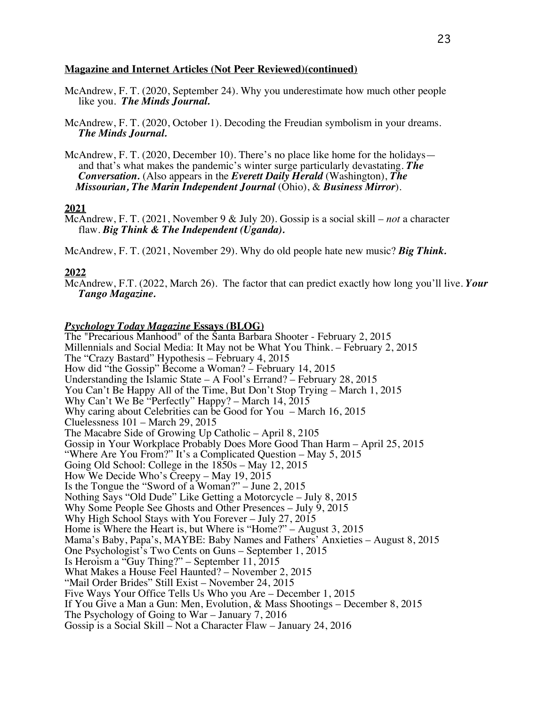#### **Magazine and Internet Articles (Not Peer Reviewed)(continued)**

- McAndrew, F. T. (2020, September 24). Why you underestimate how much other people like you. *The Minds Journal.*
- McAndrew, F. T. (2020, October 1). Decoding the Freudian symbolism in your dreams.  *The Minds Journal.*
- McAndrew, F. T. (2020, December 10). There's no place like home for the holidays and that's what makes the pandemic's winter surge particularly devastating. *The Conversation.* (Also appears in the *Everett Daily Herald* (Washington), *The Missourian, The Marin Independent Journal* (Ohio), & *Business Mirror*).

#### **2021**

McAndrew, F. T. (2021, November 9 & July 20). Gossip is a social skill – *not* a character flaw. *Big Think & The Independent (Uganda).*

McAndrew, F. T. (2021, November 29). Why do old people hate new music? *Big Think.*

#### **2022**

McAndrew, F.T. (2022, March 26). The factor that can predict exactly how long you'll live. *Your Tango Magazine.*

#### *Psychology Today Magazine* **Essays (BLOG)**

The "Precarious Manhood" of the Santa Barbara Shooter - February 2, 2015 Millennials and Social Media: It May not be What You Think. – February 2, 2015 The "Crazy Bastard" Hypothesis – February 4, 2015 How did "the Gossip" Become a Woman? – February 14, 2015 Understanding the Islamic State – A Fool's Errand? – February 28, 2015 You Can't Be Happy All of the Time, But Don't Stop Trying – March 1, 2015 Why Can't We Be "Perfectly" Happy? – March 14, 2015 Why caring about Celebrities can be Good for You – March 16, 2015 Cluelessness 101 – March 29, 2015 The Macabre Side of Growing Up Catholic – April 8, 2105 Gossip in Your Workplace Probably Does More Good Than Harm – April 25, 2015 "Where Are You From?" It's a Complicated Question – May 5, 2015 Going Old School: College in the 1850s – May 12, 2015 How We Decide Who's Creepy – May 19, 2015 Is the Tongue the "Sword of a Woman?" – June 2, 2015 Nothing Says "Old Dude" Like Getting a Motorcycle – July 8, 2015 Why Some People See Ghosts and Other Presences – July 9, 2015 Why High School Stays with You Forever – July 27, 2015 Home is Where the Heart is, but Where is "Home?" – August 3, 2015 Mama's Baby, Papa's, MAYBE: Baby Names and Fathers' Anxieties – August 8, 2015 One Psychologist's Two Cents on Guns – September 1, 2015 Is Heroism a "Guy Thing?" – September 11, 2015 What Makes a House Feel Haunted? – November 2, 2015 "Mail Order Brides" Still Exist – November 24, 2015 Five Ways Your Office Tells Us Who you Are – December 1, 2015 If You Give a Man a Gun: Men, Evolution, & Mass Shootings – December 8, 2015 The Psychology of Going to War – January 7, 2016 Gossip is a Social Skill – Not a Character Flaw – January 24, 2016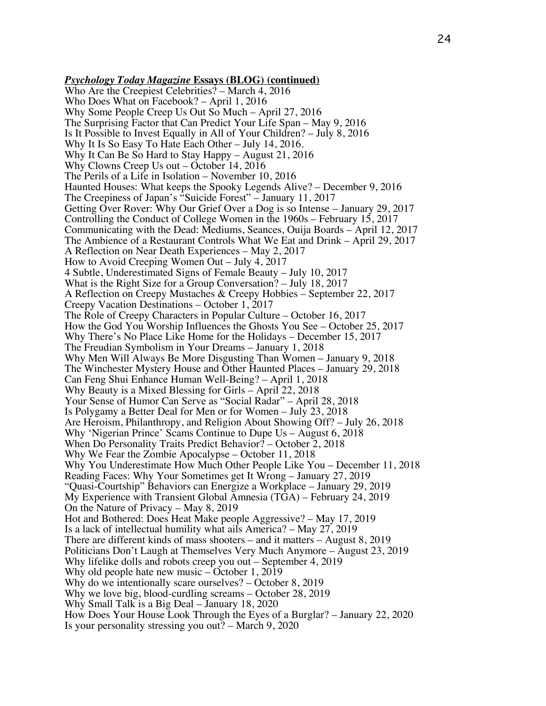*Psychology Today Magazine* **Essays (BLOG) (continued)** Who Are the Creepiest Celebrities? – March 4, 2016 Who Does What on Facebook? – April 1, 2016 Why Some People Creep Us Out So Much – April 27, 2016 The Surprising Factor that Can Predict Your Life Span – May 9, 2016 Is It Possible to Invest Equally in All of Your Children? – July 8, 2016 Why It Is So Easy To Hate Each Other – July 14, 2016. Why It Can Be So Hard to Stay Happy – August 21, 2016 Why Clowns Creep Us out – October 14, 2016 The Perils of a Life in Isolation – November 10, 2016 Haunted Houses: What keeps the Spooky Legends Alive? – December 9, 2016 The Creepiness of Japan's "Suicide Forest" – January 11, 2017 Getting Over Rover: Why Our Grief Over a Dog is so Intense – January 29, 2017 Controlling the Conduct of College Women in the 1960s – February 15, 2017 Communicating with the Dead: Mediums, Seances, Ouija Boards – April 12, 2017 The Ambience of a Restaurant Controls What We Eat and Drink – April 29, 2017 A Reflection on Near Death Experiences – May 2, 2017 How to Avoid Creeping Women Out – July 4, 2017 4 Subtle, Underestimated Signs of Female Beauty – July 10, 2017 What is the Right Size for a Group Conversation? – July 18, 2017 A Reflection on Creepy Mustaches & Creepy Hobbies – September 22, 2017 Creepy Vacation Destinations – October 1, 2017 The Role of Creepy Characters in Popular Culture – October 16, 2017 How the God You Worship Influences the Ghosts You See – October 25, 2017 Why There's No Place Like Home for the Holidays – December 15, 2017 The Freudian Symbolism in Your Dreams – January 1, 2018 Why Men Will Always Be More Disgusting Than Women – January 9, 2018 The Winchester Mystery House and Other Haunted Places – January 29, 2018 Can Feng Shui Enhance Human Well-Being? – April 1, 2018 Why Beauty is a Mixed Blessing for Girls – April 22, 2018 Your Sense of Humor Can Serve as "Social Radar" – April 28, 2018 Is Polygamy a Better Deal for Men or for Women – July 23, 2018 Are Heroism, Philanthropy, and Religion About Showing Off? – July 26, 2018 Why 'Nigerian Prince' Scams Continue to Dupe Us – August 6, 2018 When Do Personality Traits Predict Behavior? – October 2, 2018 Why We Fear the Zombie Apocalypse – October 11, 2018 Why You Underestimate How Much Other People Like You – December 11, 2018 Reading Faces: Why Your Sometimes get It Wrong – January 27, 2019 "Quasi-Courtship" Behaviors can Energize a Workplace – January 29, 2019 My Experience with Transient Global Amnesia (TGA) – February 24, 2019 On the Nature of Privacy – May 8, 2019 Hot and Bothered: Does Heat Make people Aggressive? – May 17, 2019 Is a lack of intellectual humility what ails America? – May 27, 2019 There are different kinds of mass shooters – and it matters – August 8, 2019 Politicians Don't Laugh at Themselves Very Much Anymore – August 23, 2019 Why lifelike dolls and robots creep you out – September 4, 2019 Why old people hate new music – October 1, 2019 Why do we intentionally scare ourselves? – October 8, 2019 Why we love big, blood-curdling screams – October 28, 2019 Why Small Talk is a Big Deal – January 18, 2020 How Does Your House Look Through the Eyes of a Burglar? – January 22, 2020 Is your personality stressing you out? – March 9, 2020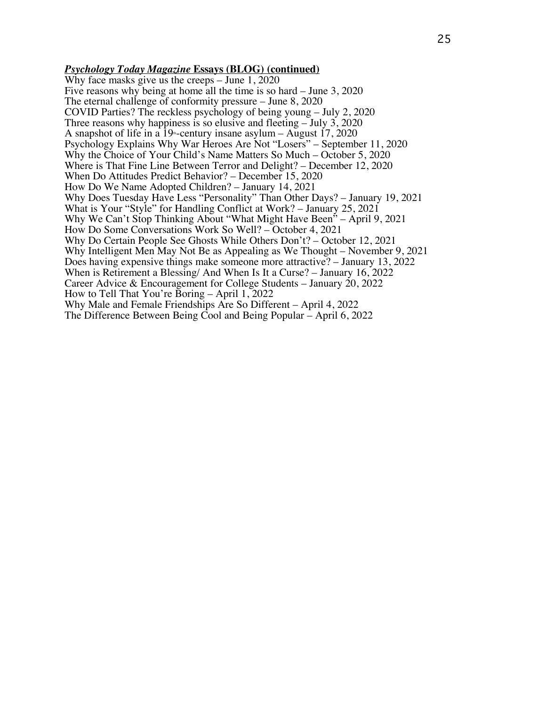#### *Psychology Today Magazine* **Essays (BLOG) (continued)**

Why face masks give us the creeps – June 1, 2020 Five reasons why being at home all the time is so hard – June 3, 2020 The eternal challenge of conformity pressure – June 8, 2020 COVID Parties? The reckless psychology of being young – July 2, 2020 Three reasons why happiness is so elusive and fleeting – July 3, 2020 A snapshot of life in a 19<sup>th</sup>-century insane asylum – August 17, 2020 Psychology Explains Why War Heroes Are Not "Losers" – September 11, 2020 Why the Choice of Your Child's Name Matters So Much – October 5, 2020 Where is That Fine Line Between Terror and Delight? – December 12, 2020 When Do Attitudes Predict Behavior? – December 15, 2020 How Do We Name Adopted Children? – January 14, 2021 Why Does Tuesday Have Less "Personality" Than Other Days? – January 19, 2021 What is Your "Style" for Handling Conflict at Work? – January 25, 2021 Why We Can't Stop Thinking About "What Might Have Been" – April 9, 2021 How Do Some Conversations Work So Well? – October 4, 2021 Why Do Certain People See Ghosts While Others Don't? – October 12, 2021 Why Intelligent Men May Not Be as Appealing as We Thought – November 9, 2021 Does having expensive things make someone more attractive? – January 13, 2022 When is Retirement a Blessing/ And When Is It a Curse? – January 16, 2022 Career Advice & Encouragement for College Students – January 20, 2022 How to Tell That You're Boring – April 1, 2022 Why Male and Female Friendships Are So Different – April 4, 2022 The Difference Between Being Cool and Being Popular – April 6, 2022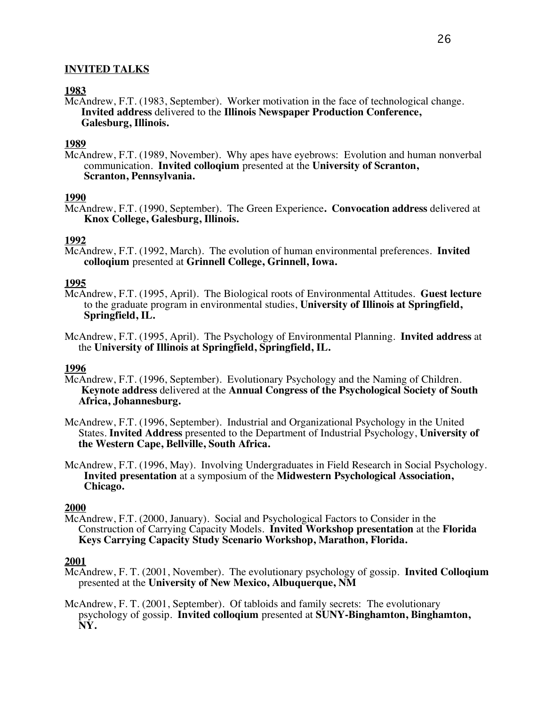# **INVITED TALKS**

# **1983**

McAndrew, F.T. (1983, September). Worker motivation in the face of technological change. **Invited address** delivered to the **Illinois Newspaper Production Conference, Galesburg, Illinois.**

## **1989**

McAndrew, F.T. (1989, November). Why apes have eyebrows: Evolution and human nonverbal communication. **Invited colloqium** presented at the **University of Scranton, Scranton, Pennsylvania.**

## **1990**

McAndrew, F.T. (1990, September). The Green Experience**. Convocation address** delivered at **Knox College, Galesburg, Illinois.**

# **1992**

McAndrew, F.T. (1992, March). The evolution of human environmental preferences. **Invited colloqium** presented at **Grinnell College, Grinnell, Iowa.**

# **1995**

- McAndrew, F.T. (1995, April). The Biological roots of Environmental Attitudes. **Guest lecture** to the graduate program in environmental studies, **University of Illinois at Springfield, Springfield, IL.**
- McAndrew, F.T. (1995, April). The Psychology of Environmental Planning. **Invited address** at the **University of Illinois at Springfield, Springfield, IL.**

## **1996**

- McAndrew, F.T. (1996, September). Evolutionary Psychology and the Naming of Children. **Keynote address** delivered at the **Annual Congress of the Psychological Society of South Africa, Johannesburg.**
- McAndrew, F.T. (1996, September). Industrial and Organizational Psychology in the United States. **Invited Address** presented to the Department of Industrial Psychology, **University of the Western Cape, Bellville, South Africa.**
- McAndrew, F.T. (1996, May). Involving Undergraduates in Field Research in Social Psychology. **Invited presentation** at a symposium of the **Midwestern Psychological Association, Chicago.**

## **2000**

McAndrew, F.T. (2000, January). Social and Psychological Factors to Consider in the Construction of Carrying Capacity Models. **Invited Workshop presentation** at the **Florida Keys Carrying Capacity Study Scenario Workshop, Marathon, Florida.**

- McAndrew, F. T. (2001, November). The evolutionary psychology of gossip. **Invited Colloqium** presented at the **University of New Mexico, Albuquerque, NM**
- McAndrew, F. T. (2001, September). Of tabloids and family secrets: The evolutionary psychology of gossip. **Invited colloqium** presented at **SUNY-Binghamton, Binghamton, NY.**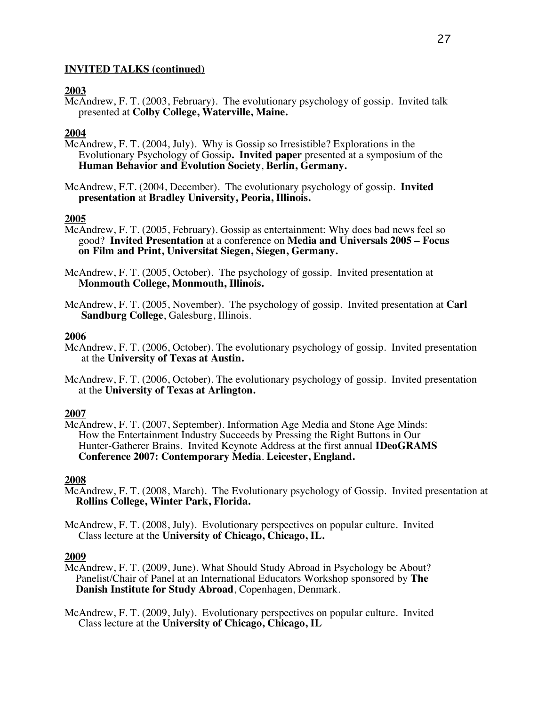## **2003**

McAndrew, F. T. (2003, February). The evolutionary psychology of gossip. Invited talk presented at **Colby College, Waterville, Maine.**

# **2004**

- McAndrew, F. T. (2004, July). Why is Gossip so Irresistible? Explorations in the Evolutionary Psychology of Gossip**. Invited paper** presented at a symposium of the **Human Behavior and Evolution Society**, **Berlin, Germany.**
- McAndrew, F.T. (2004, December). The evolutionary psychology of gossip. **Invited presentation** at **Bradley University, Peoria, Illinois.**

# **2005**

- McAndrew, F. T. (2005, February). Gossip as entertainment: Why does bad news feel so good? **Invited Presentation** at a conference on **Media and Universals 2005 – Focus on Film and Print, Universitat Siegen, Siegen, Germany.**
- McAndrew, F. T. (2005, October). The psychology of gossip. Invited presentation at **Monmouth College, Monmouth, Illinois.**
- McAndrew, F. T. (2005, November). The psychology of gossip. Invited presentation at **Carl Sandburg College**, Galesburg, Illinois.

## **2006**

- McAndrew, F. T. (2006, October). The evolutionary psychology of gossip. Invited presentation at the **University of Texas at Austin.**
- McAndrew, F. T. (2006, October). The evolutionary psychology of gossip. Invited presentation at the **University of Texas at Arlington.**

## **2007**

McAndrew, F. T. (2007, September). Information Age Media and Stone Age Minds: How the Entertainment Industry Succeeds by Pressing the Right Buttons in Our Hunter-Gatherer Brains. Invited Keynote Address at the first annual **IDeoGRAMS Conference 2007: Contemporary Media**. **Leicester, England.**

## **2008**

- McAndrew, F. T. (2008, March). The Evolutionary psychology of Gossip. Invited presentation at **Rollins College, Winter Park, Florida.**
- McAndrew, F. T. (2008, July). Evolutionary perspectives on popular culture. Invited Class lecture at the **University of Chicago, Chicago, IL.**

## **2009**

McAndrew, F. T. (2009, June). What Should Study Abroad in Psychology be About? Panelist/Chair of Panel at an International Educators Workshop sponsored by **The Danish Institute for Study Abroad**, Copenhagen, Denmark.

McAndrew, F. T. (2009, July). Evolutionary perspectives on popular culture. Invited Class lecture at the **University of Chicago, Chicago, IL**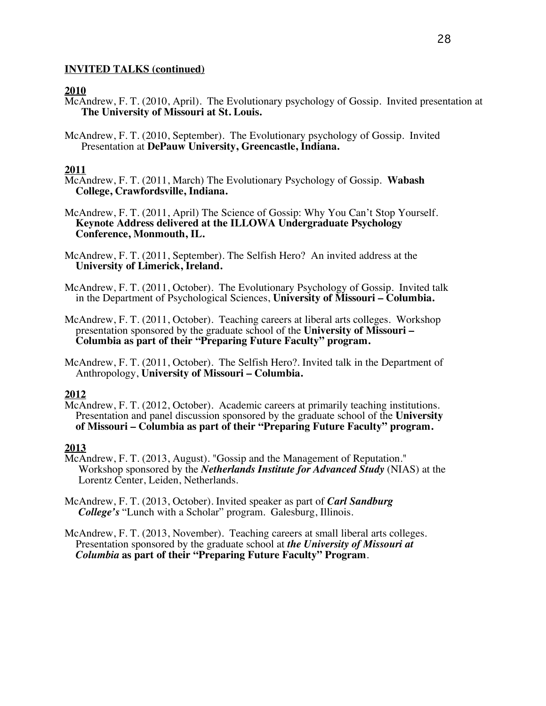# **2010**

- McAndrew, F. T. (2010, April). The Evolutionary psychology of Gossip. Invited presentation at **The University of Missouri at St. Louis.**
- McAndrew, F. T. (2010, September). The Evolutionary psychology of Gossip. Invited Presentation at **DePauw University, Greencastle, Indiana.**

# **2011**

- McAndrew, F. T. (2011, March) The Evolutionary Psychology of Gossip. **Wabash College, Crawfordsville, Indiana.**
- McAndrew, F. T. (2011, April) The Science of Gossip: Why You Can't Stop Yourself. **Keynote Address delivered at the ILLOWA Undergraduate Psychology Conference, Monmouth, IL.**
- McAndrew, F. T. (2011, September). The Selfish Hero? An invited address at the **University of Limerick, Ireland.**
- McAndrew, F. T. (2011, October). The Evolutionary Psychology of Gossip. Invited talk in the Department of Psychological Sciences, **University of Missouri – Columbia.**
- McAndrew, F. T. (2011, October). Teaching careers at liberal arts colleges. Workshop presentation sponsored by the graduate school of the **University of Missouri – Columbia as part of their "Preparing Future Faculty" program.**
- McAndrew, F. T. (2011, October). The Selfish Hero?. Invited talk in the Department of Anthropology, **University of Missouri – Columbia.**

## **2012**

McAndrew, F. T. (2012, October). Academic careers at primarily teaching institutions. Presentation and panel discussion sponsored by the graduate school of the **University of Missouri – Columbia as part of their "Preparing Future Faculty" program.**

- McAndrew, F. T. (2013, August). "Gossip and the Management of Reputation." Workshop sponsored by the *Netherlands Institute for Advanced Study* (NIAS) at the Lorentz Center, Leiden, Netherlands.
- McAndrew, F. T. (2013, October). Invited speaker as part of *Carl Sandburg College's* "Lunch with a Scholar" program. Galesburg, Illinois.
- McAndrew, F. T. (2013, November). Teaching careers at small liberal arts colleges. Presentation sponsored by the graduate school at *the University of Missouri at Columbia* **as part of their "Preparing Future Faculty" Program**.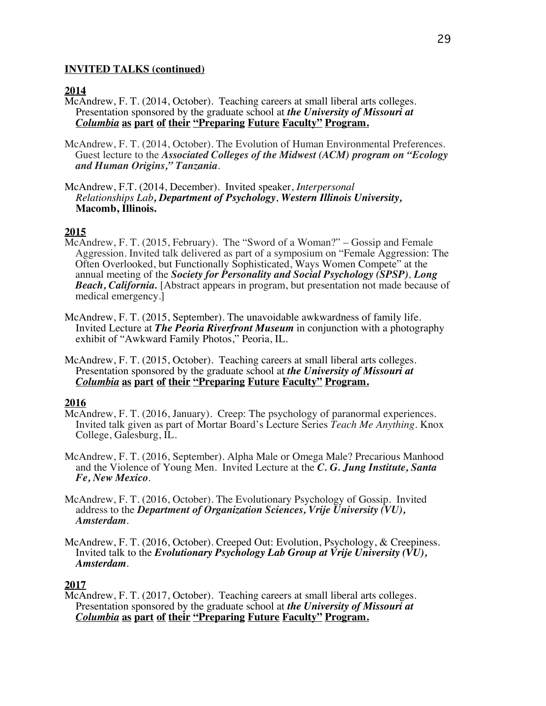## **2014**

McAndrew, F. T. (2014, October). Teaching careers at small liberal arts colleges. Presentation sponsored by the graduate school at *the University of Missouri at Columbia* **as part of their "Preparing Future Faculty" Program.**

- McAndrew, F. T. (2014, October). The Evolution of Human Environmental Preferences. Guest lecture to the *Associated Colleges of the Midwest (ACM) program on "Ecology and Human Origins," Tanzania*.
- McAndrew, F.T. (2014, December). Invited speaker, *Interpersonal Relationships Lab, Department of Psychology*, *Western Illinois University,* **Macomb, Illinois.**

## **2015**

- McAndrew, F. T. (2015, February). The "Sword of a Woman?" Gossip and Female Aggression. Invited talk delivered as part of a symposium on "Female Aggression: The Often Overlooked, but Functionally Sophisticated, Ways Women Compete" at the annual meeting of the *Society for Personality and Social Psychology (SPSP), Long Beach, California.* [Abstract appears in program, but presentation not made because of medical emergency.]
- McAndrew, F. T. (2015, September). The unavoidable awkwardness of family life. Invited Lecture at *The Peoria Riverfront Museum* in conjunction with a photography exhibit of "Awkward Family Photos," Peoria, IL.
- McAndrew, F. T. (2015, October). Teaching careers at small liberal arts colleges. Presentation sponsored by the graduate school at *the University of Missouri at Columbia* **as part of their "Preparing Future Faculty" Program.**

## **2016**

- McAndrew, F. T. (2016, January). Creep: The psychology of paranormal experiences. Invited talk given as part of Mortar Board's Lecture Series *Teach Me Anything.* Knox College, Galesburg, IL.
- McAndrew, F. T. (2016, September). Alpha Male or Omega Male? Precarious Manhood and the Violence of Young Men. Invited Lecture at the *C. G. Jung Institute, Santa Fe, New Mexico*.
- McAndrew, F. T. (2016, October). The Evolutionary Psychology of Gossip. Invited address to the *Department of Organization Sciences, Vrije University (VU), Amsterdam*.
- McAndrew, F. T. (2016, October). Creeped Out: Evolution, Psychology, & Creepiness. Invited talk to the *Evolutionary Psychology Lab Group at Vrije University (VU), Amsterdam*.

#### **2017**

McAndrew, F. T. (2017, October). Teaching careers at small liberal arts colleges. Presentation sponsored by the graduate school at *the University of Missouri at Columbia* **as part of their "Preparing Future Faculty" Program.**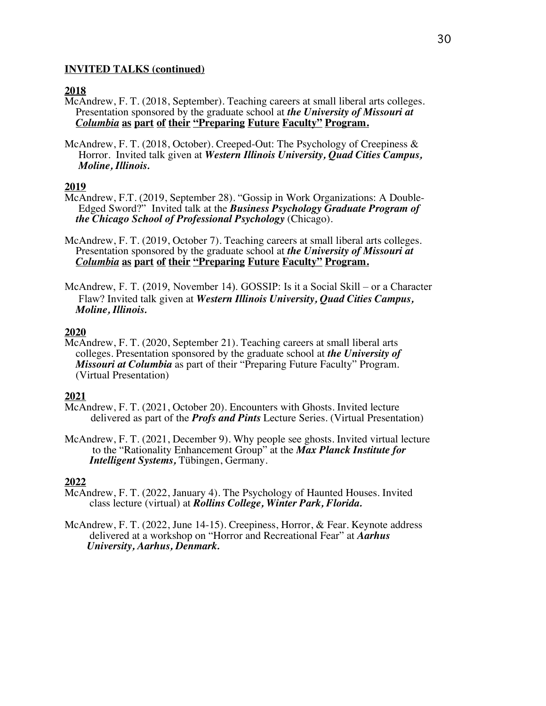## **2018**

- McAndrew, F. T. (2018, September). Teaching careers at small liberal arts colleges. Presentation sponsored by the graduate school at *the University of Missouri at Columbia* **as part of their "Preparing Future Faculty" Program.**
- McAndrew, F. T. (2018, October). Creeped-Out: The Psychology of Creepiness & Horror. Invited talk given at *Western Illinois University, Quad Cities Campus, Moline, Illinois.*

# **2019**

- McAndrew, F.T. (2019, September 28). "Gossip in Work Organizations: A Double- Edged Sword?" Invited talk at the *Business Psychology Graduate Program of the Chicago School of Professional Psychology* (Chicago).
- McAndrew, F. T. (2019, October 7). Teaching careers at small liberal arts colleges.<br>Presentation sponsored by the graduate school at the University of Missouri at<br>Columbia as part of their "Preparing Future Faculty" Progra
- McAndrew, F. T. (2019, November 14). GOSSIP: Is it a Social Skill or a Character Flaw? Invited talk given at *Western Illinois University, Quad Cities Campus, Moline, Illinois.*

# **2020**

McAndrew, F. T. (2020, September 21). Teaching careers at small liberal arts colleges. Presentation sponsored by the graduate school at *the University of Missouri at Columbia* as part of their "Preparing Future Faculty" Program. (Virtual Presentation)

## **2021**

- McAndrew, F. T. (2021, October 20). Encounters with Ghosts. Invited lecture delivered as part of the *Profs and Pints* Lecture Series. (Virtual Presentation)
- McAndrew, F. T. (2021, December 9). Why people see ghosts. Invited virtual lecture to the "Rationality Enhancement Group" at the *Max Planck Institute for Intelligent Systems,* Tübingen, Germany.

- McAndrew, F. T. (2022, January 4). The Psychology of Haunted Houses. Invited class lecture (virtual) at *Rollins College, Winter Park, Florida.*
- McAndrew, F. T. (2022, June 14-15). Creepiness, Horror, & Fear. Keynote address delivered at a workshop on "Horror and Recreational Fear" at *Aarhus University, Aarhus, Denmark.*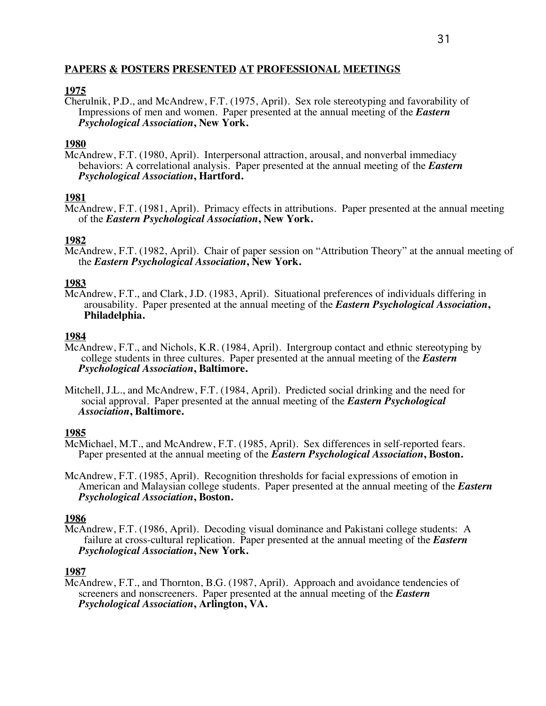# **PAPERS & POSTERS PRESENTED AT PROFESSIONAL MEETINGS**

# **1975**

Cherulnik, P.D., and McAndrew, F.T. (1975, April). Sex role stereotyping and favorability of Impressions of men and women. Paper presented at the annual meeting of the *Eastern Psychological Association***, New York.**

# **1980**

McAndrew, F.T. (1980, April). Interpersonal attraction, arousal, and nonverbal immediacy behaviors: A correlational analysis. Paper presented at the annual meeting of the *Eastern Psychological Association***, Hartford.**

# **1981**

McAndrew, F.T. (1981, April). Primacy effects in attributions. Paper presented at the annual meeting of the *Eastern Psychological Association***, New York.**

# **1982**

McAndrew, F.T. (1982, April). Chair of paper session on "Attribution Theory" at the annual meeting of the *Eastern Psychological Association***, New York.**

# **1983**

McAndrew, F.T., and Clark, J.D. (1983, April). Situational preferences of individuals differing in arousability. Paper presented at the annual meeting of the *Eastern Psychological Association*, **Philadelphia.** 

# **1984**

- McAndrew, F.T., and Nichols, K.R. (1984, April). Intergroup contact and ethnic stereotyping by college students in three cultures. Paper presented at the annual meeting of the *Eastern Psychological Association***, Baltimore.**
- Mitchell, J.L., and McAndrew, F.T. (1984, April). Predicted social drinking and the need for social approval. Paper presented at the annual meeting of the *Eastern Psychological Association***, Baltimore.**

- **1985**<br>McMichael, M.T., and McAndrew, F.T. (1985, April). Sex differences in self-reported fears. Paper presented at the annual meeting of the *Eastern Psychological Association*, Boston.
- McAndrew, F.T. (1985, April). Recognition thresholds for facial expressions of emotion in American and Malaysian college students. Paper presented at the annual meeting of the *Eastern Psychological Association***, Boston.**

# **1986**

McAndrew, F.T. (1986, April). Decoding visual dominance and Pakistani college students: A failure at cross-cultural replication. Paper presented at the annual meeting of the *Eastern Psychological Association***, New York.**

# **1987**

McAndrew, F.T., and Thornton, B.G. (1987, April). Approach and avoidance tendencies of screeners and nonscreeners. Paper presented at the annual meeting of the *Eastern Psychological Association***, Arlington, VA.**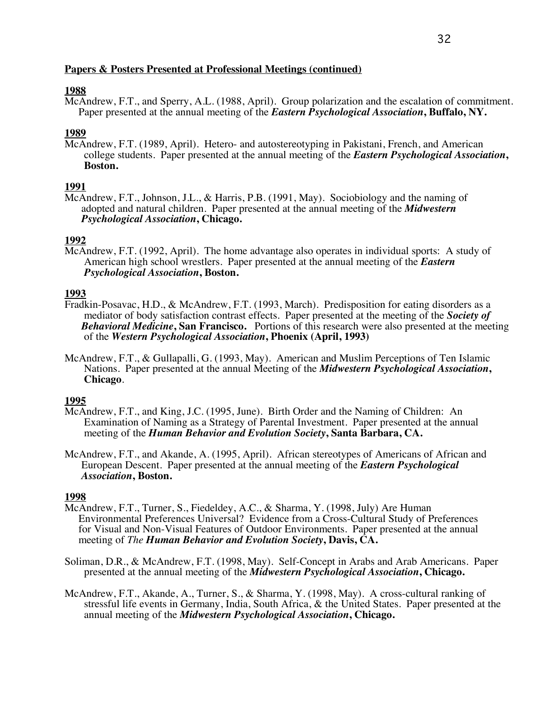# **1988**

McAndrew, F.T., and Sperry, A.L. (1988, April). Group polarization and the escalation of commitment. Paper presented at the annual meeting of the *Eastern Psychological Association***, Buffalo, NY.**

# **1989**

McAndrew, F.T. (1989, April). Hetero- and autostereotyping in Pakistani, French, and American college students. Paper presented at the annual meeting of the *Eastern Psychological Association***, Boston.**

# **1991**

McAndrew, F.T., Johnson, J.L., & Harris, P.B. (1991, May). Sociobiology and the naming of adopted and natural children. Paper presented at the annual meeting of the *Midwestern Psychological Association***, Chicago.**

# **1992**

McAndrew, F.T. (1992, April). The home advantage also operates in individual sports: A study of American high school wrestlers. Paper presented at the annual meeting of the *Eastern Psychological Association*, Boston.

- 1993<br>Fradkin-Posavac, H.D., & McAndrew, F.T. (1993, March). Predisposition for eating disorders as a mediator of body satisfaction contrast effects. Paper presented at the meeting of the *Society of Behavioral Medicine***, San Francisco.** Portions of this research were also presented at the meeting of the *Western Psychological Association***, Phoenix (April, 1993)**
- McAndrew, F.T., & Gullapalli, G. (1993, May). American and Muslim Perceptions of Ten Islamic Nations. Paper presented at the annual Meeting of the *Midwestern Psychological Association***, Chicago**.

## **1995**

- McAndrew, F.T., and King, J.C. (1995, June). Birth Order and the Naming of Children: An Examination of Naming as a Strategy of Parental Investment. Paper presented at the annual meeting of the *Human Behavior and Evolution Society***, Santa Barbara, CA.**
- McAndrew, F.T., and Akande, A. (1995, April). African stereotypes of Americans of African and European Descent. Paper presented at the annual meeting of the *Eastern Psychological Association***, Boston.**

- McAndrew, F.T., Turner, S., Fiedeldey, A.C., & Sharma, Y. (1998, July) Are Human Environmental Preferences Universal? Evidence from a Cross-Cultural Study of Preferences for Visual and Non-Visual Features of Outdoor Environments. Paper presented at the annual meeting of *The Human Behavior and Evolutio*
- Soliman, D.R., & McAndrew, F.T. (1998, May). Self-Concept in Arabs and Arab Americans. Paper presented at the annual meeting of the *Midwestern Psychological Association***, Chicago.**
- McAndrew, F.T., Akande, A., Turner, S., & Sharma, Y. (1998, May). A cross-cultural ranking of stressful life events in Germany, India, South Africa, & the United States. Paper presented at the annual meeting of the *Midwestern Psychological Association***, Chicago.**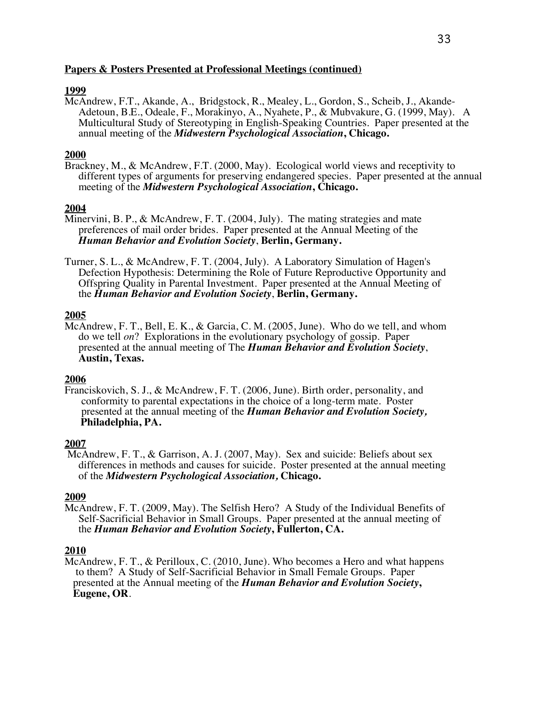# **1999**

McAndrew, F.T., Akande, A., Bridgstock, R., Mealey, L., Gordon, S., Scheib, J., Akande- Adetoun, B.E., Odeale, F., Morakinyo, A., Nyahete, P., & Mubvakure, G. (1999, May). A Multicultural Study of Stereotyping in English-Speaking Countries. Paper presented at the annual meeting of the *Midwestern Psychological Association***, Chicago.**

# **2000**

Brackney, M., & McAndrew, F.T. (2000, May). Ecological world views and receptivity to different types of arguments for preserving endangered species. Paper presented at the annual meeting of the *Midwestern Psychological Association***, Chicago.**

## **2004**

- Minervini, B. P., & McAndrew, F. T. (2004, July). The mating strategies and mate preferences of mail order brides. Paper presented at the Annual Meeting of the *Human Behavior and Evolution Society*, **Berlin, Germany.**
- Turner, S. L., & McAndrew, F. T. (2004, July). A Laboratory Simulation of Hagen's<br>Defection Hypothesis: Determining the Role of Future Reproductive Opportunity and<br>Offspring Quality in Parental Investment. Paper presented

## **2005**

McAndrew, F. T., Bell, E. K., & Garcia, C. M. (2005, June). Who do we tell, and whom do we tell *on*? Explorations in the evolutionary psychology of gossip. Paper presented at the annual meeting of The *Human Behavior and Evolution Society*, **Austin, Texas.**

## **2006**

Franciskovich, S. J., & McAndrew, F. T. (2006, June). Birth order, personality, and conformity to parental expectations in the choice of a long-term mate. Poster presented at the annual meeting of the *Human Behavior and Evolution Society,* **Philadelphia, PA.**

## **2007**

McAndrew, F. T., & Garrison, A. J. (2007, May). Sex and suicide: Beliefs about sex differences in methods and causes for suicide. Poster presented at the annual meeting of the *Midwestern Psychological Association,* **Chicago.**

#### **2009**

McAndrew, F. T. (2009, May). The Selfish Hero? A Study of the Individual Benefits of<br>Self-Sacrificial Behavior in Small Groups. Paper presented at the annual meeting of<br>the *Human Behavior and Evolution Society*, Fullerton

## **2010**

McAndrew, F. T., & Perilloux, C. (2010, June). Who becomes a Hero and what happens to them? A Study of Self-Sacrificial Behavior in Small Female Groups. Paper presented at the Annual meeting of the *Human Behavior and Evolution Society***, Eugene, OR**.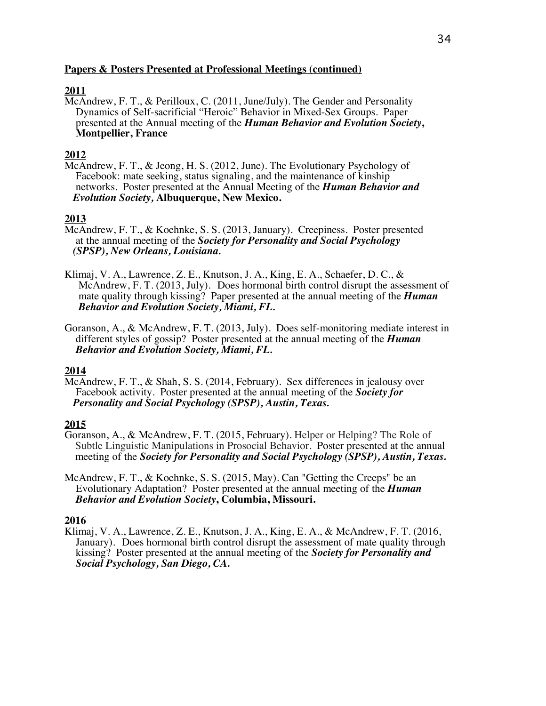# **2011**

McAndrew, F. T., & Perilloux, C. (2011, June/July). The Gender and Personality Dynamics of Self-sacrificial "Heroic" Behavior in Mixed-Sex Groups. Paper presented at the Annual meeting of the *Human Behavior and Evolution Society***, Montpellier, France**

# **2012**

McAndrew, F. T., & Jeong, H. S. (2012, June). The Evolutionary Psychology of Facebook: mate seeking, status signaling, and the maintenance of kinship networks. Poster presented at the Annual Meeting of the *Human Behavior and Evolution Society,* **Albuquerque, New Mexico.**

# **2013**

- McAndrew, F. T., & Koehnke, S. S. (2013, January). Creepiness. Poster presented at the annual meeting of the *Society for Personality and Social Psychology (SPSP), New Orleans, Louisiana.*
- Klimaj, V. A., Lawrence, Z. E., Knutson, J. A., King, E. A., Schaefer, D. C., & McAndrew, F. T. (2013, July). Does hormonal birth control disrupt the assessment of mate quality through kissing? Paper presented at the annual meeting of the *Human Behavior and Evolution Society, Miami, FL.*
- Goranson, A., & McAndrew, F. T. (2013, July). Does self-monitoring mediate interest in different styles of gossip? Poster presented at the annual meeting of the *Human Behavior and Evolution Society, Miami, FL.*

# **2014**

McAndrew, F. T., & Shah, S. S. (2014, February). Sex differences in jealousy over Facebook activity. Poster presented at the annual meeting of the *Society for Personality and Social Psychology (SPSP), Austin, Texas.*

# **2015**

- Goranson, A., & McAndrew, F. T. (2015, February). Helper or Helping? The Role of Subtle Linguistic Manipulations in Prosocial Behavior. Poster presented at the annual meeting of the *Society for Personality and Social Psychology (SPSP), Austin, Texas.*
- McAndrew, F. T., & Koehnke, S. S. (2015, May). Can "Getting the Creeps" be an Evolutionary Adaptation? Poster presented at the annual meeting of the *Human Behavior and Evolution Society***, Columbia, Missouri.**

## **2016**

Klimaj, V. A., Lawrence, Z. E., Knutson, J. A., King, E. A., & McAndrew, F. T. (2016, January). Does hormonal birth control disrupt the assessment of mate quality through kissing? Poster presented at the annual meeting of the *Society for Personality and Social Psychology, San Diego, CA.*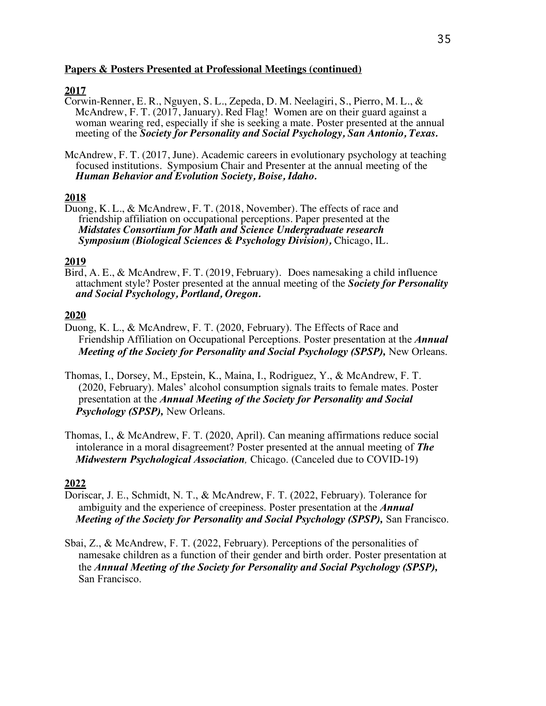# **2017**

- Corwin-Renner, E. R., Nguyen, S. L., Zepeda, D. M. Neelagiri, S., Pierro, M. L., & McAndrew, F. T. (2017, January). Red Flag! Women are on their guard against a woman wearing red, especially if she is seeking a mate. Poster presented at the annual meeting of the *Society for Personality and Social Psychology, San Antonio, Texas.*
- McAndrew, F. T. (2017, June). Academic careers in evolutionary psychology at teaching focused institutions. Symposium Chair and Presenter at the annual meeting of the *Human Behavior and Evolution Society, Boise, Idaho.*

# **2018**

Duong, K. L., & McAndrew, F. T. (2018, November). The effects of race and friendship affiliation on occupational perceptions. Paper presented at the  *Midstates Consortium for Math and Science Undergraduate research Symposium (Biological Sciences & Psychology Division),* Chicago, IL.

2019<br>Bird, A. E., & McAndrew, F. T. (2019, February). Does namesaking a child influence attachment style? Poster presented at the annual meeting of the *Society for Personality and Social Psychology, Portland, Oregon.* 

# **2020**

- Duong, K. L., & McAndrew, F. T. (2020, February). The Effects of Race and Friendship Affiliation on Occupational Perceptions. Poster presentation at the *Annual Meeting of the Society for Personality and Social Psychology (SPSP), New Orleans.*
- Thomas, I., Dorsey, M., Epstein, K., Maina, I., Rodriguez, Y., & McAndrew, F. T. (2020, February). Males' alcohol consumption signals traits to female mates. Poster presentation at the *Annual Meeting of the Society for Personality and Social Psychology (SPSP),* New Orleans.
- Thomas, I., & McAndrew, F. T. (2020, April). Can meaning affirmations reduce social intolerance in a moral disagreement? Poster presented at the annual meeting of *The Midwestern Psychological Association,* Chicago. (Canceled due to COVID-19)

- Doriscar, J. E., Schmidt, N. T., & McAndrew, F. T. (2022, February). Tolerance for ambiguity and the experience of creepiness. Poster presentation at the *Annual Meeting of the Society for Personality and Social Psychology (SPSP), San Francisco.*
- Sbai, Z., & McAndrew, F. T. (2022, February). Perceptions of the personalities of namesake children as a function of their gender and birth order. Poster presentation at the *Annual Meeting of the Society for Personality and Social Psychology (SPSP),*  San Francisco.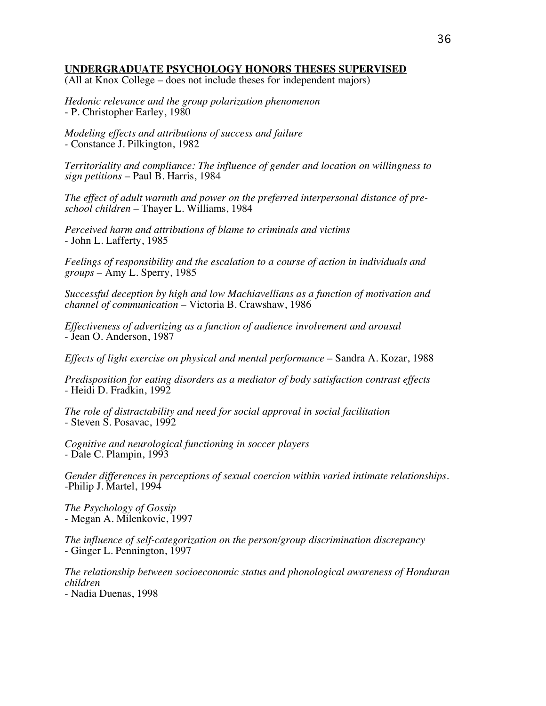## **UNDERGRADUATE PSYCHOLOGY HONORS THESES SUPERVISED**

(All at Knox College – does not include theses for independent majors)

*Hedonic relevance and the group polarization phenomenon* - P. Christopher Earley, 1980

*Modeling effects and attributions of success and failure -* Constance J. Pilkington, 1982

*Territoriality and compliance: The influence of gender and location on willingness to sign petitions* – Paul B. Harris, 1984

*The effect of adult warmth and power on the preferred interpersonal distance of preschool children* – Thayer L. Williams, 1984

*Perceived harm and attributions of blame to criminals and victims* - John L. Lafferty, 1985

*Feelings of responsibility and the escalation to a course of action in individuals and groups* – Amy L. Sperry, 1985

*Successful deception by high and low Machiavellians as a function of motivation and channel of communication* – Victoria B. Crawshaw, 1986

*Effectiveness of advertizing as a function of audience involvement and arousal* - Jean O. Anderson, 1987

*Effects of light exercise on physical and mental performance* – Sandra A. Kozar, 1988

*Predisposition for eating disorders as a mediator of body satisfaction contrast effects* - Heidi D. Fradkin, 1992

*The role of distractability and need for social approval in social facilitation* - Steven S. Posavac, 1992

*Cognitive and neurological functioning in soccer players -* Dale C. Plampin, 1993

*Gender differences in perceptions of sexual coercion within varied intimate relationships.* -Philip J. Martel, 1994

*The Psychology of Gossip* - Megan A. Milenkovic, 1997

*The influence of self-categorization on the person/group discrimination discrepancy* - Ginger L. Pennington, 1997

*The relationship between socioeconomic status and phonological awareness of Honduran children*

- Nadia Duenas, 1998